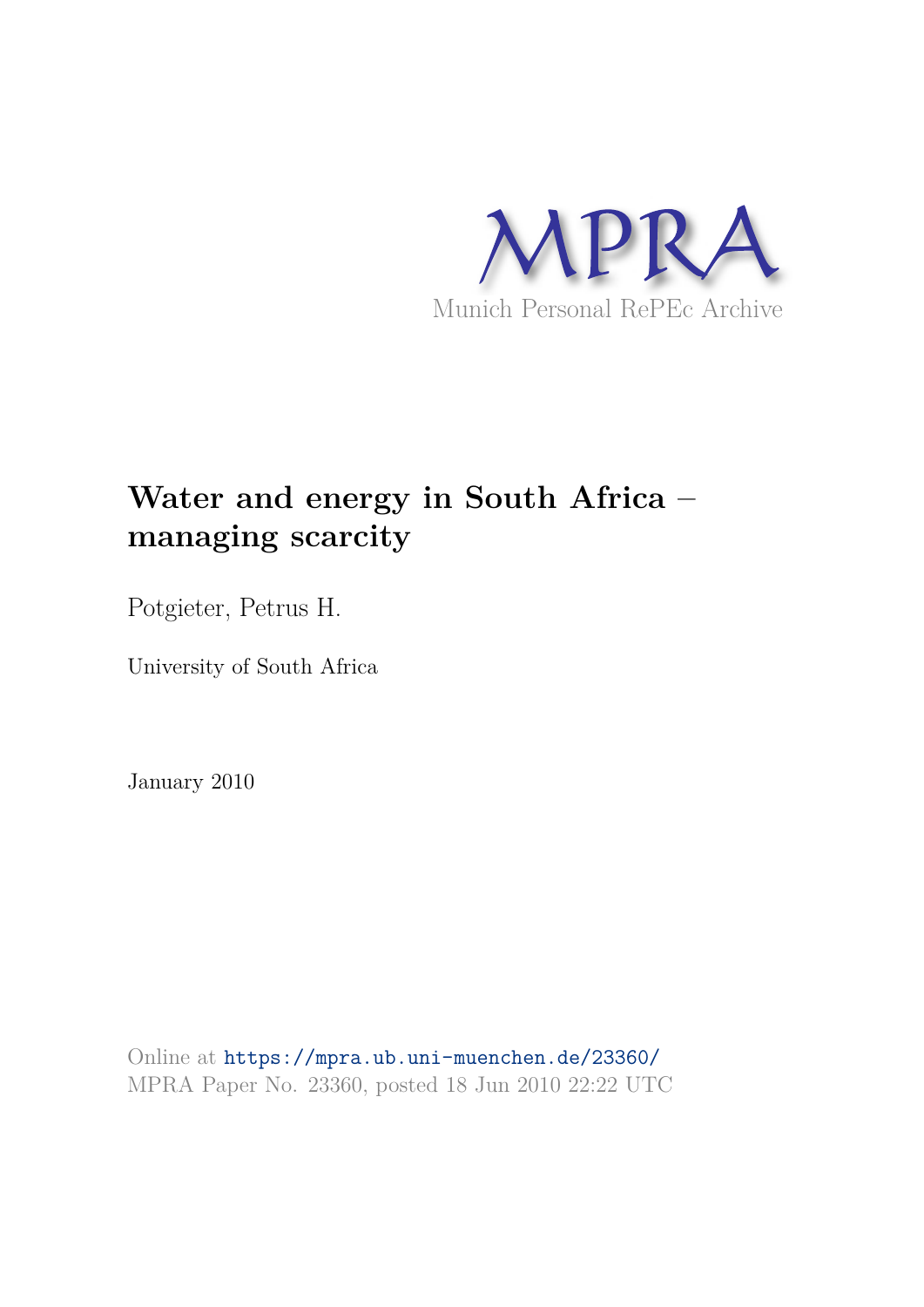

## **Water and energy in South Africa – managing scarcity**

Potgieter, Petrus H.

University of South Africa

January 2010

Online at https://mpra.ub.uni-muenchen.de/23360/ MPRA Paper No. 23360, posted 18 Jun 2010 22:22 UTC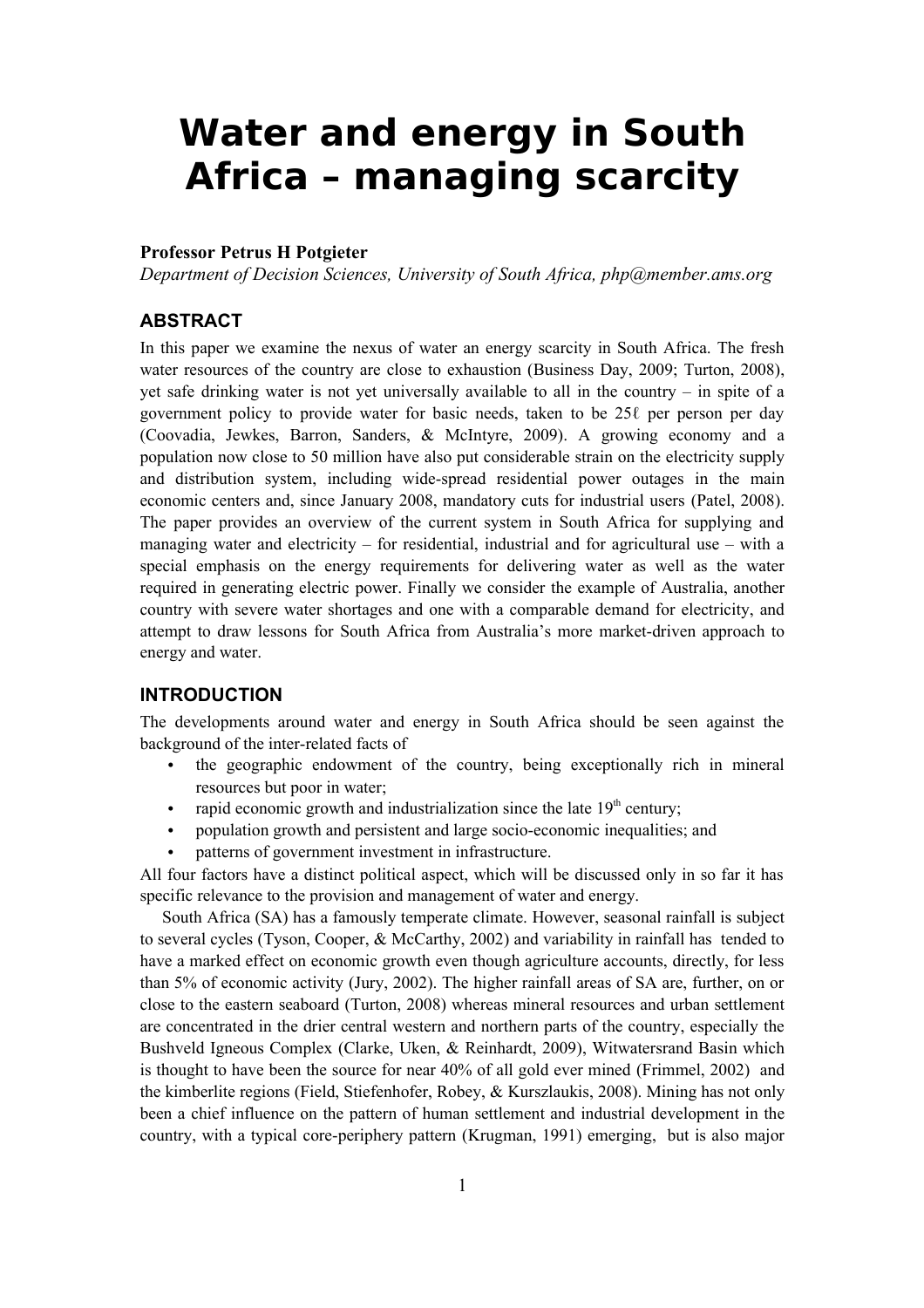# **Water and energy in South Africa – managing scarcity**

## **Professor Petrus H Potgieter**

*Department of Decision Sciences, University of South Africa, php@member.ams.org*

## **ABSTRACT**

In this paper we examine the nexus of water an energy scarcity in South Africa. The fresh water resources of the country are close to exhaustion (Business Day, 2009; Turton, 2008), yet safe drinking water is not yet universally available to all in the country – in spite of a government policy to provide water for basic needs, taken to be 25ℓ per person per day (Coovadia, Jewkes, Barron, Sanders, & McIntyre, 2009). A growing economy and a population now close to 50 million have also put considerable strain on the electricity supply and distribution system, including wide-spread residential power outages in the main economic centers and, since January 2008, mandatory cuts for industrial users (Patel, 2008). The paper provides an overview of the current system in South Africa for supplying and managing water and electricity – for residential, industrial and for agricultural use – with a special emphasis on the energy requirements for delivering water as well as the water required in generating electric power. Finally we consider the example of Australia, another country with severe water shortages and one with a comparable demand for electricity, and attempt to draw lessons for South Africa from Australia's more market-driven approach to energy and water.

## **INTRODUCTION**

The developments around water and energy in South Africa should be seen against the background of the inter-related facts of

- the geographic endowment of the country, being exceptionally rich in mineral resources but poor in water;
- rapid economic growth and industrialization since the late  $19<sup>th</sup>$  century;
- population growth and persistent and large socio-economic inequalities; and
- patterns of government investment in infrastructure.

All four factors have a distinct political aspect, which will be discussed only in so far it has specific relevance to the provision and management of water and energy.

South Africa (SA) has a famously temperate climate. However, seasonal rainfall is subject to several cycles (Tyson, Cooper, & McCarthy, 2002) and variability in rainfall has tended to have a marked effect on economic growth even though agriculture accounts, directly, for less than 5% of economic activity (Jury, 2002). The higher rainfall areas of SA are, further, on or close to the eastern seaboard (Turton, 2008) whereas mineral resources and urban settlement are concentrated in the drier central western and northern parts of the country, especially the Bushveld Igneous Complex (Clarke, Uken, & Reinhardt, 2009), Witwatersrand Basin which is thought to have been the source for near 40% of all gold ever mined (Frimmel, 2002) and the kimberlite regions (Field, Stiefenhofer, Robey, & Kurszlaukis, 2008). Mining has not only been a chief influence on the pattern of human settlement and industrial development in the country, with a typical core-periphery pattern (Krugman, 1991) emerging, but is also major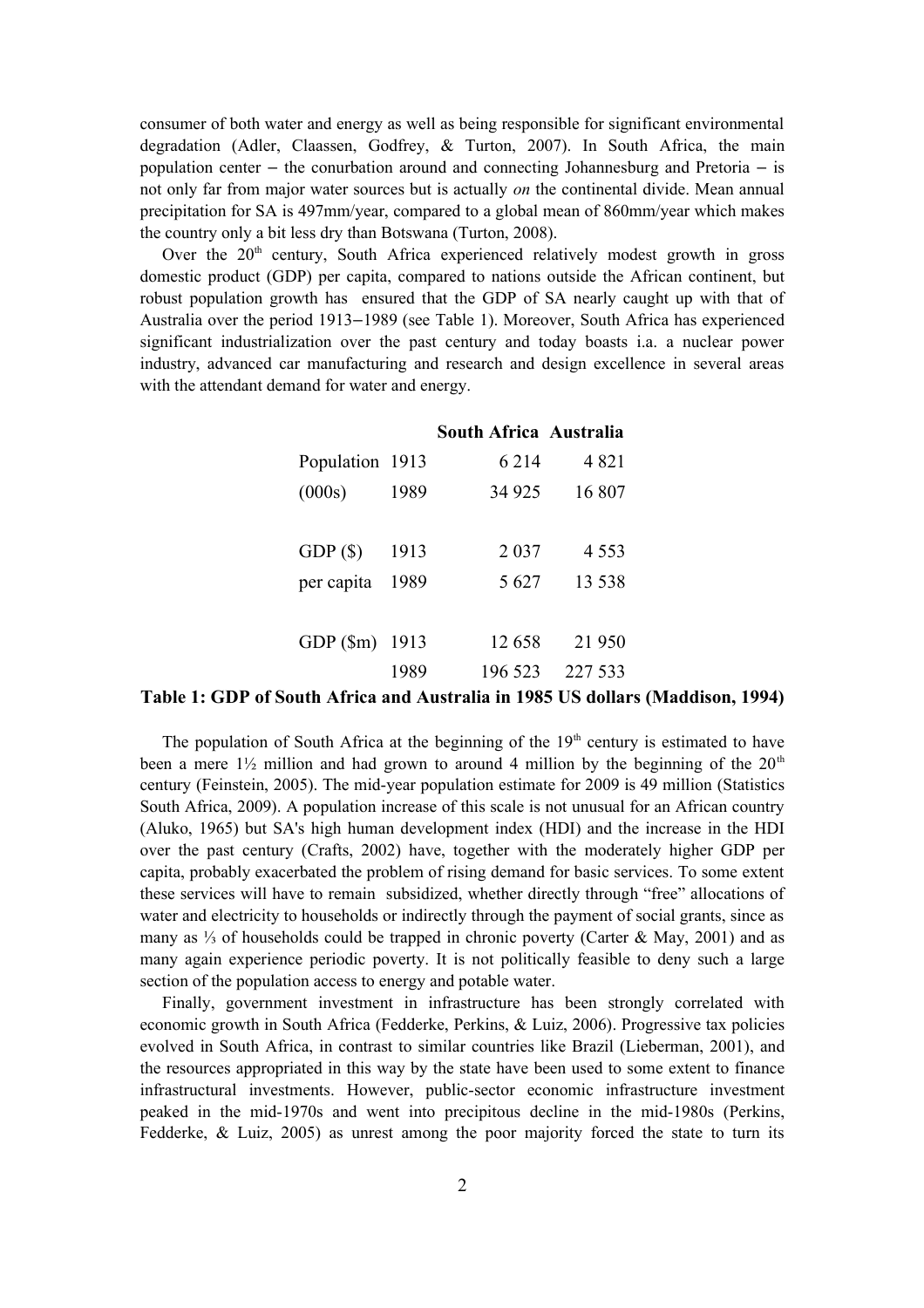consumer of both water and energy as well as being responsible for significant environmental degradation (Adler, Claassen, Godfrey, & Turton, 2007). In South Africa, the main population center  $-$  the conurbation around and connecting Johannesburg and Pretoria  $-$  is not only far from major water sources but is actually *on* the continental divide. Mean annual precipitation for SA is 497mm/year, compared to a global mean of 860mm/year which makes the country only a bit less dry than Botswana (Turton, 2008).

Over the  $20<sup>th</sup>$  century, South Africa experienced relatively modest growth in gross domestic product (GDP) per capita, compared to nations outside the African continent, but robust population growth has ensured that the GDP of SA nearly caught up with that of Australia over the period 1913–1989 (see Table 1). Moreover, South Africa has experienced significant industrialization over the past century and today boasts i.a. a nuclear power industry, advanced car manufacturing and research and design excellence in several areas with the attendant demand for water and energy.

|                 |      | South Africa Australia |         |
|-----------------|------|------------------------|---------|
| Population 1913 |      | 6 2 1 4                | 4821    |
| (000s)          | 1989 | 34 9 25                | 16 807  |
|                 |      |                        |         |
| GDP(S)          | 1913 | 2 0 3 7                | 4 5 5 3 |
| per capita      | 1989 | 5 6 27                 | 13 5 38 |
|                 |      |                        |         |
| GDP(Sm)         | 1913 | 12658                  | 21 950  |
|                 | 1989 | 196 523                | 227 533 |

#### **Table 1: GDP of South Africa and Australia in 1985 US dollars (Maddison, 1994)**

The population of South Africa at the beginning of the  $19<sup>th</sup>$  century is estimated to have been a mere  $1\frac{1}{2}$  million and had grown to around 4 million by the beginning of the  $20<sup>th</sup>$ century (Feinstein, 2005). The mid-year population estimate for 2009 is 49 million (Statistics South Africa, 2009). A population increase of this scale is not unusual for an African country (Aluko, 1965) but SA's high human development index (HDI) and the increase in the HDI over the past century (Crafts, 2002) have, together with the moderately higher GDP per capita, probably exacerbated the problem of rising demand for basic services. To some extent these services will have to remain subsidized, whether directly through "free" allocations of water and electricity to households or indirectly through the payment of social grants, since as many as ⅓ of households could be trapped in chronic poverty (Carter & May, 2001) and as many again experience periodic poverty. It is not politically feasible to deny such a large section of the population access to energy and potable water.

Finally, government investment in infrastructure has been strongly correlated with economic growth in South Africa (Fedderke, Perkins, & Luiz, 2006). Progressive tax policies evolved in South Africa, in contrast to similar countries like Brazil (Lieberman, 2001), and the resources appropriated in this way by the state have been used to some extent to finance infrastructural investments. However, public-sector economic infrastructure investment peaked in the mid-1970s and went into precipitous decline in the mid-1980s (Perkins, Fedderke,  $\&$  Luiz, 2005) as unrest among the poor majority forced the state to turn its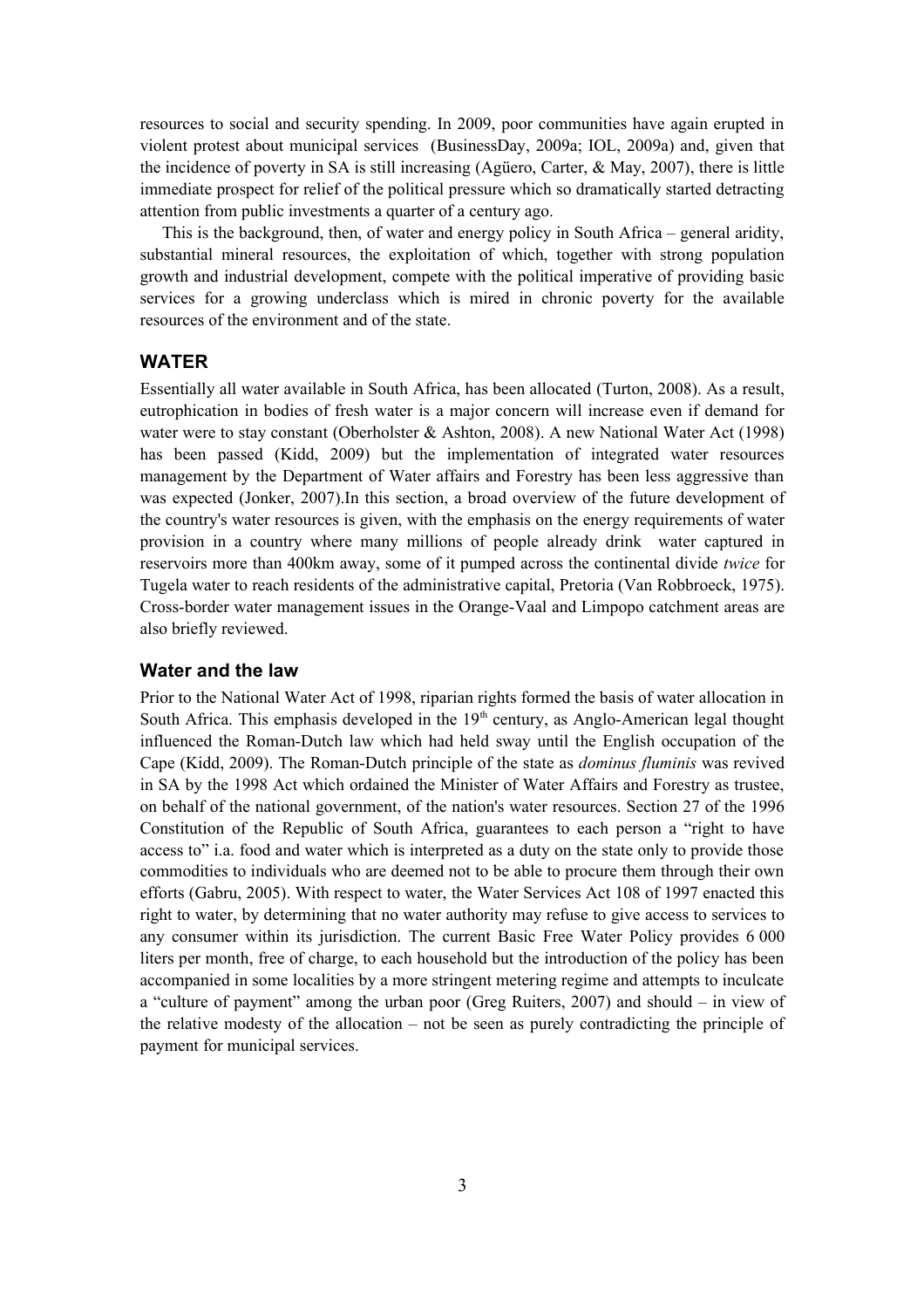resources to social and security spending. In 2009, poor communities have again erupted in violent protest about municipal services (BusinessDay, 2009a; IOL, 2009a) and, given that the incidence of poverty in SA is still increasing (Agüero, Carter, & May, 2007), there is little immediate prospect for relief of the political pressure which so dramatically started detracting attention from public investments a quarter of a century ago.

This is the background, then, of water and energy policy in South Africa – general aridity, substantial mineral resources, the exploitation of which, together with strong population growth and industrial development, compete with the political imperative of providing basic services for a growing underclass which is mired in chronic poverty for the available resources of the environment and of the state.

## **WATER**

Essentially all water available in South Africa, has been allocated (Turton, 2008). As a result, eutrophication in bodies of fresh water is a major concern will increase even if demand for water were to stay constant (Oberholster & Ashton, 2008). A new National Water Act (1998) has been passed (Kidd, 2009) but the implementation of integrated water resources management by the Department of Water affairs and Forestry has been less aggressive than was expected (Jonker, 2007).In this section, a broad overview of the future development of the country's water resources is given, with the emphasis on the energy requirements of water provision in a country where many millions of people already drink water captured in reservoirs more than 400km away, some of it pumped across the continental divide *twice* for Tugela water to reach residents of the administrative capital, Pretoria (Van Robbroeck, 1975). Cross-border water management issues in the Orange-Vaal and Limpopo catchment areas are also briefly reviewed.

## **Water and the law**

Prior to the National Water Act of 1998, riparian rights formed the basis of water allocation in South Africa. This emphasis developed in the  $19<sup>th</sup>$  century, as Anglo-American legal thought influenced the Roman-Dutch law which had held sway until the English occupation of the Cape (Kidd, 2009). The Roman-Dutch principle of the state as *dominus fluminis* was revived in SA by the 1998 Act which ordained the Minister of Water Affairs and Forestry as trustee, on behalf of the national government, of the nation's water resources. Section 27 of the 1996 Constitution of the Republic of South Africa, guarantees to each person a "right to have access to" i.a. food and water which is interpreted as a duty on the state only to provide those commodities to individuals who are deemed not to be able to procure them through their own efforts (Gabru, 2005). With respect to water, the Water Services Act 108 of 1997 enacted this right to water, by determining that no water authority may refuse to give access to services to any consumer within its jurisdiction. The current Basic Free Water Policy provides 6 000 liters per month, free of charge, to each household but the introduction of the policy has been accompanied in some localities by a more stringent metering regime and attempts to inculcate a "culture of payment" among the urban poor (Greg Ruiters, 2007) and should – in view of the relative modesty of the allocation – not be seen as purely contradicting the principle of payment for municipal services.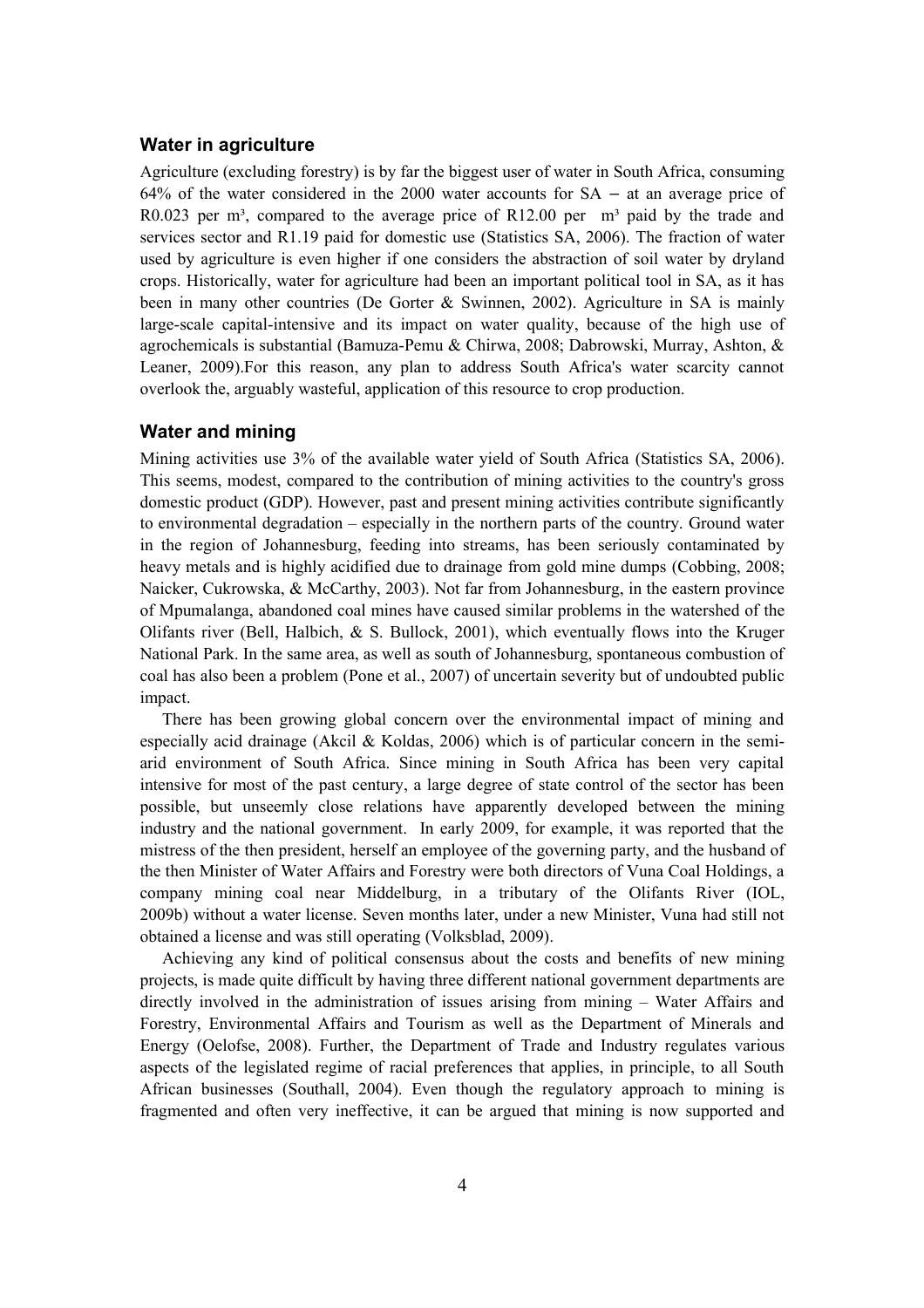## **Water in agriculture**

Agriculture (excluding forestry) is by far the biggest user of water in South Africa, consuming 64% of the water considered in the 2000 water accounts for  $SA - at$  an average price of R0.023 per m<sup>3</sup>, compared to the average price of R12.00 per  $m<sup>3</sup>$  paid by the trade and services sector and R1.19 paid for domestic use (Statistics SA, 2006). The fraction of water used by agriculture is even higher if one considers the abstraction of soil water by dryland crops. Historically, water for agriculture had been an important political tool in SA, as it has been in many other countries (De Gorter & Swinnen, 2002). Agriculture in SA is mainly large-scale capital-intensive and its impact on water quality, because of the high use of agrochemicals is substantial (Bamuza-Pemu & Chirwa, 2008; Dabrowski, Murray, Ashton, & Leaner, 2009).For this reason, any plan to address South Africa's water scarcity cannot overlook the, arguably wasteful, application of this resource to crop production.

## **Water and mining**

Mining activities use 3% of the available water yield of South Africa (Statistics SA, 2006). This seems, modest, compared to the contribution of mining activities to the country's gross domestic product (GDP). However, past and present mining activities contribute significantly to environmental degradation – especially in the northern parts of the country. Ground water in the region of Johannesburg, feeding into streams, has been seriously contaminated by heavy metals and is highly acidified due to drainage from gold mine dumps (Cobbing, 2008; Naicker, Cukrowska, & McCarthy, 2003). Not far from Johannesburg, in the eastern province of Mpumalanga, abandoned coal mines have caused similar problems in the watershed of the Olifants river (Bell, Halbich, & S. Bullock, 2001), which eventually flows into the Kruger National Park. In the same area, as well as south of Johannesburg, spontaneous combustion of coal has also been a problem (Pone et al., 2007) of uncertain severity but of undoubted public impact.

There has been growing global concern over the environmental impact of mining and especially acid drainage (Akcil & Koldas, 2006) which is of particular concern in the semiarid environment of South Africa. Since mining in South Africa has been very capital intensive for most of the past century, a large degree of state control of the sector has been possible, but unseemly close relations have apparently developed between the mining industry and the national government. In early 2009, for example, it was reported that the mistress of the then president, herself an employee of the governing party, and the husband of the then Minister of Water Affairs and Forestry were both directors of Vuna Coal Holdings, a company mining coal near Middelburg, in a tributary of the Olifants River (IOL, 2009b) without a water license. Seven months later, under a new Minister, Vuna had still not obtained a license and was still operating (Volksblad, 2009).

Achieving any kind of political consensus about the costs and benefits of new mining projects, is made quite difficult by having three different national government departments are directly involved in the administration of issues arising from mining – Water Affairs and Forestry, Environmental Affairs and Tourism as well as the Department of Minerals and Energy (Oelofse, 2008). Further, the Department of Trade and Industry regulates various aspects of the legislated regime of racial preferences that applies, in principle, to all South African businesses (Southall, 2004). Even though the regulatory approach to mining is fragmented and often very ineffective, it can be argued that mining is now supported and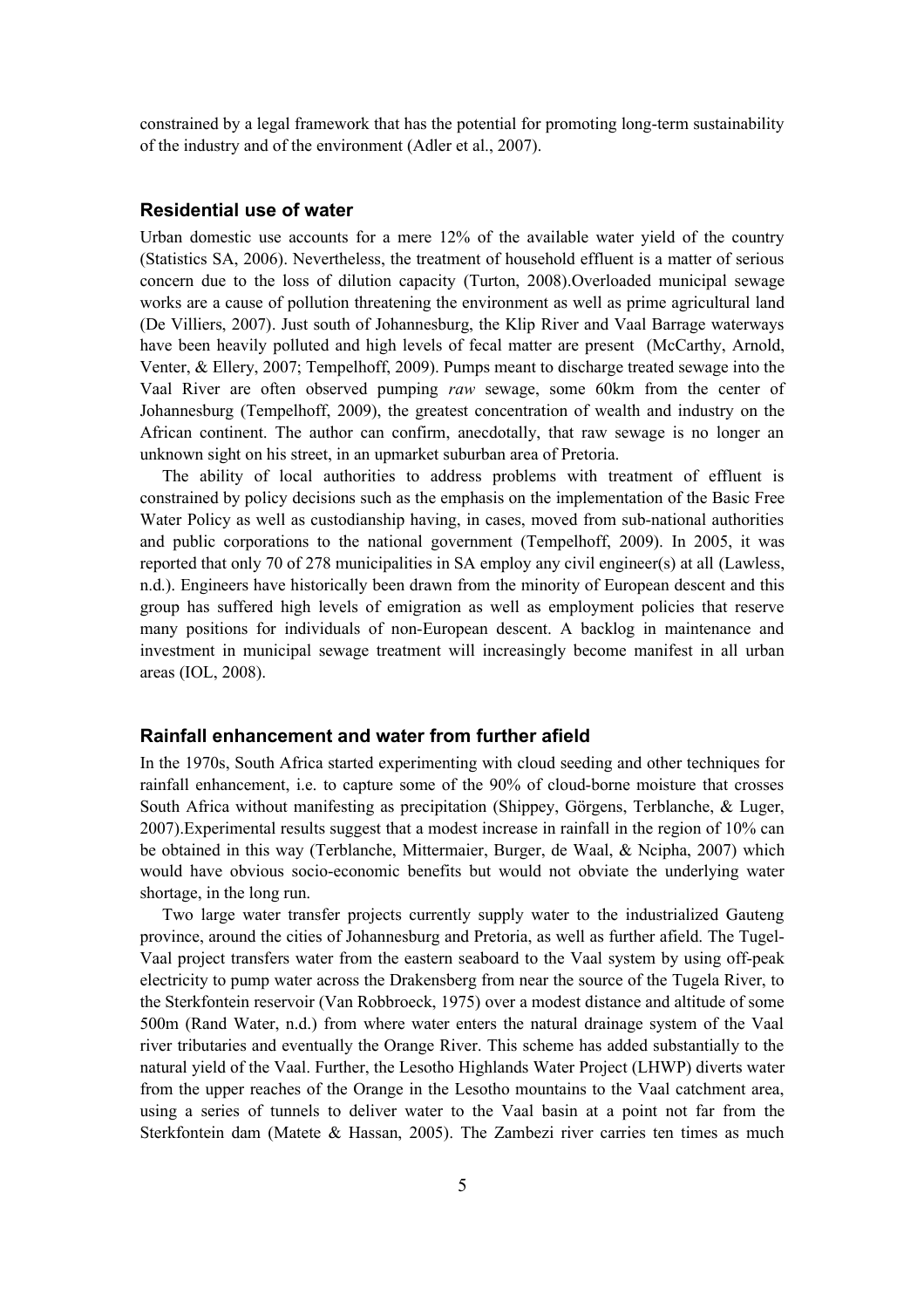constrained by a legal framework that has the potential for promoting long-term sustainability of the industry and of the environment (Adler et al., 2007).

## **Residential use of water**

Urban domestic use accounts for a mere 12% of the available water yield of the country (Statistics SA, 2006). Nevertheless, the treatment of household effluent is a matter of serious concern due to the loss of dilution capacity (Turton, 2008).Overloaded municipal sewage works are a cause of pollution threatening the environment as well as prime agricultural land (De Villiers, 2007). Just south of Johannesburg, the Klip River and Vaal Barrage waterways have been heavily polluted and high levels of fecal matter are present (McCarthy, Arnold, Venter, & Ellery, 2007; Tempelhoff, 2009). Pumps meant to discharge treated sewage into the Vaal River are often observed pumping *raw* sewage, some 60km from the center of Johannesburg (Tempelhoff, 2009), the greatest concentration of wealth and industry on the African continent. The author can confirm, anecdotally, that raw sewage is no longer an unknown sight on his street, in an upmarket suburban area of Pretoria.

The ability of local authorities to address problems with treatment of effluent is constrained by policy decisions such as the emphasis on the implementation of the Basic Free Water Policy as well as custodianship having, in cases, moved from sub-national authorities and public corporations to the national government (Tempelhoff, 2009). In 2005, it was reported that only 70 of 278 municipalities in SA employ any civil engineer(s) at all (Lawless, n.d.). Engineers have historically been drawn from the minority of European descent and this group has suffered high levels of emigration as well as employment policies that reserve many positions for individuals of non-European descent. A backlog in maintenance and investment in municipal sewage treatment will increasingly become manifest in all urban areas (IOL, 2008).

## **Rainfall enhancement and water from further afield**

In the 1970s, South Africa started experimenting with cloud seeding and other techniques for rainfall enhancement, i.e. to capture some of the 90% of cloud-borne moisture that crosses South Africa without manifesting as precipitation (Shippey, Görgens, Terblanche, & Luger, 2007).Experimental results suggest that a modest increase in rainfall in the region of 10% can be obtained in this way (Terblanche, Mittermaier, Burger, de Waal, & Ncipha, 2007) which would have obvious socio-economic benefits but would not obviate the underlying water shortage, in the long run.

Two large water transfer projects currently supply water to the industrialized Gauteng province, around the cities of Johannesburg and Pretoria, as well as further afield. The Tugel-Vaal project transfers water from the eastern seaboard to the Vaal system by using off-peak electricity to pump water across the Drakensberg from near the source of the Tugela River, to the Sterkfontein reservoir (Van Robbroeck, 1975) over a modest distance and altitude of some 500m (Rand Water, n.d.) from where water enters the natural drainage system of the Vaal river tributaries and eventually the Orange River. This scheme has added substantially to the natural yield of the Vaal. Further, the Lesotho Highlands Water Project (LHWP) diverts water from the upper reaches of the Orange in the Lesotho mountains to the Vaal catchment area, using a series of tunnels to deliver water to the Vaal basin at a point not far from the Sterkfontein dam (Matete & Hassan, 2005). The Zambezi river carries ten times as much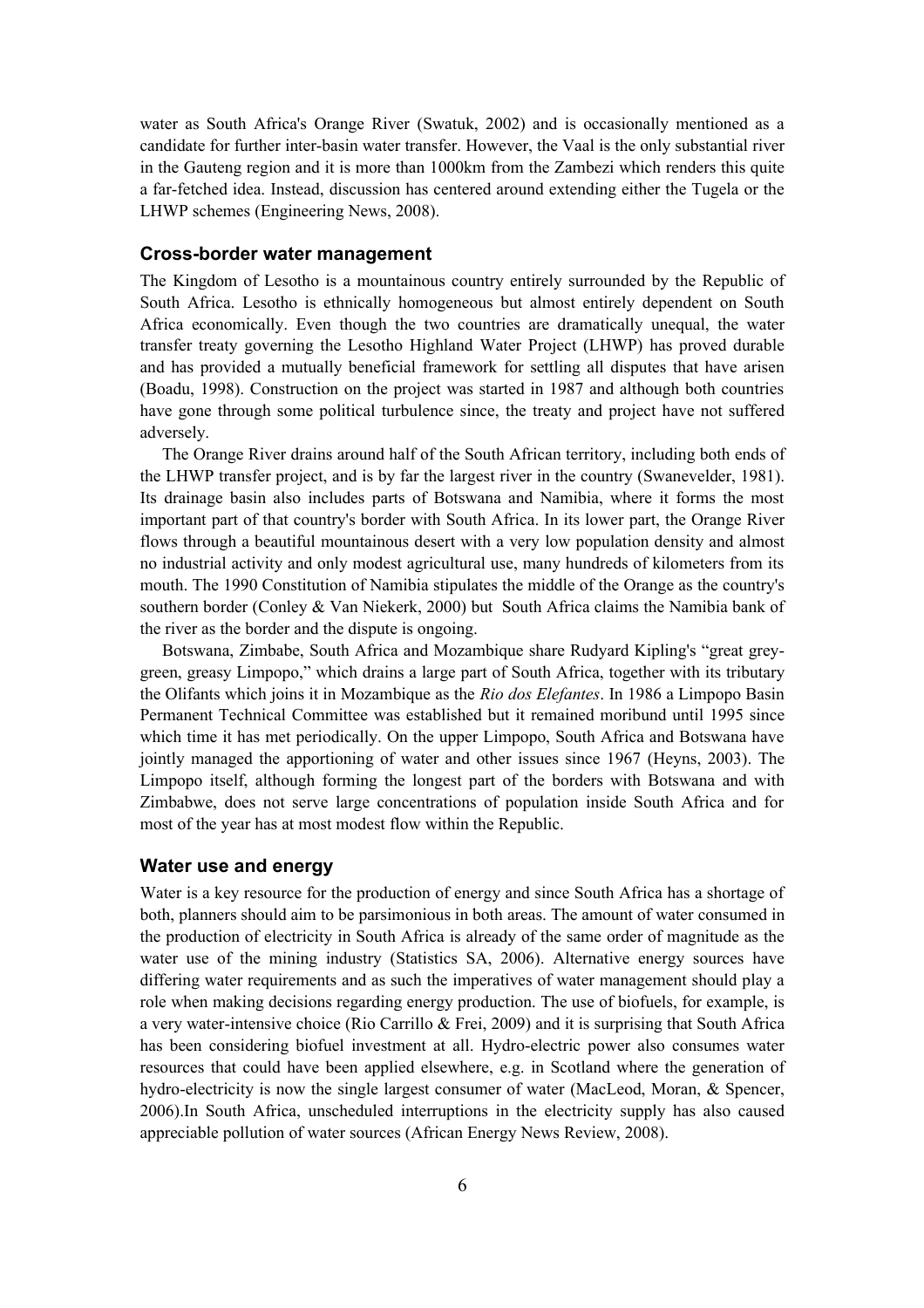water as South Africa's Orange River (Swatuk, 2002) and is occasionally mentioned as a candidate for further inter-basin water transfer. However, the Vaal is the only substantial river in the Gauteng region and it is more than 1000km from the Zambezi which renders this quite a far-fetched idea. Instead, discussion has centered around extending either the Tugela or the LHWP schemes (Engineering News, 2008).

## **Cross-border water management**

The Kingdom of Lesotho is a mountainous country entirely surrounded by the Republic of South Africa. Lesotho is ethnically homogeneous but almost entirely dependent on South Africa economically. Even though the two countries are dramatically unequal, the water transfer treaty governing the Lesotho Highland Water Project (LHWP) has proved durable and has provided a mutually beneficial framework for settling all disputes that have arisen (Boadu, 1998). Construction on the project was started in 1987 and although both countries have gone through some political turbulence since, the treaty and project have not suffered adversely.

The Orange River drains around half of the South African territory, including both ends of the LHWP transfer project, and is by far the largest river in the country (Swanevelder, 1981). Its drainage basin also includes parts of Botswana and Namibia, where it forms the most important part of that country's border with South Africa. In its lower part, the Orange River flows through a beautiful mountainous desert with a very low population density and almost no industrial activity and only modest agricultural use, many hundreds of kilometers from its mouth. The 1990 Constitution of Namibia stipulates the middle of the Orange as the country's southern border (Conley & Van Niekerk, 2000) but South Africa claims the Namibia bank of the river as the border and the dispute is ongoing.

Botswana, Zimbabe, South Africa and Mozambique share Rudyard Kipling's "great greygreen, greasy Limpopo," which drains a large part of South Africa, together with its tributary the Olifants which joins it in Mozambique as the *Rio dos Elefantes*. In 1986 a Limpopo Basin Permanent Technical Committee was established but it remained moribund until 1995 since which time it has met periodically. On the upper Limpopo, South Africa and Botswana have jointly managed the apportioning of water and other issues since 1967 (Heyns, 2003). The Limpopo itself, although forming the longest part of the borders with Botswana and with Zimbabwe, does not serve large concentrations of population inside South Africa and for most of the year has at most modest flow within the Republic.

## **Water use and energy**

Water is a key resource for the production of energy and since South Africa has a shortage of both, planners should aim to be parsimonious in both areas. The amount of water consumed in the production of electricity in South Africa is already of the same order of magnitude as the water use of the mining industry (Statistics SA, 2006). Alternative energy sources have differing water requirements and as such the imperatives of water management should play a role when making decisions regarding energy production. The use of biofuels, for example, is a very water-intensive choice (Rio Carrillo & Frei, 2009) and it is surprising that South Africa has been considering biofuel investment at all. Hydro-electric power also consumes water resources that could have been applied elsewhere, e.g. in Scotland where the generation of hydro-electricity is now the single largest consumer of water (MacLeod, Moran, & Spencer, 2006).In South Africa, unscheduled interruptions in the electricity supply has also caused appreciable pollution of water sources (African Energy News Review, 2008).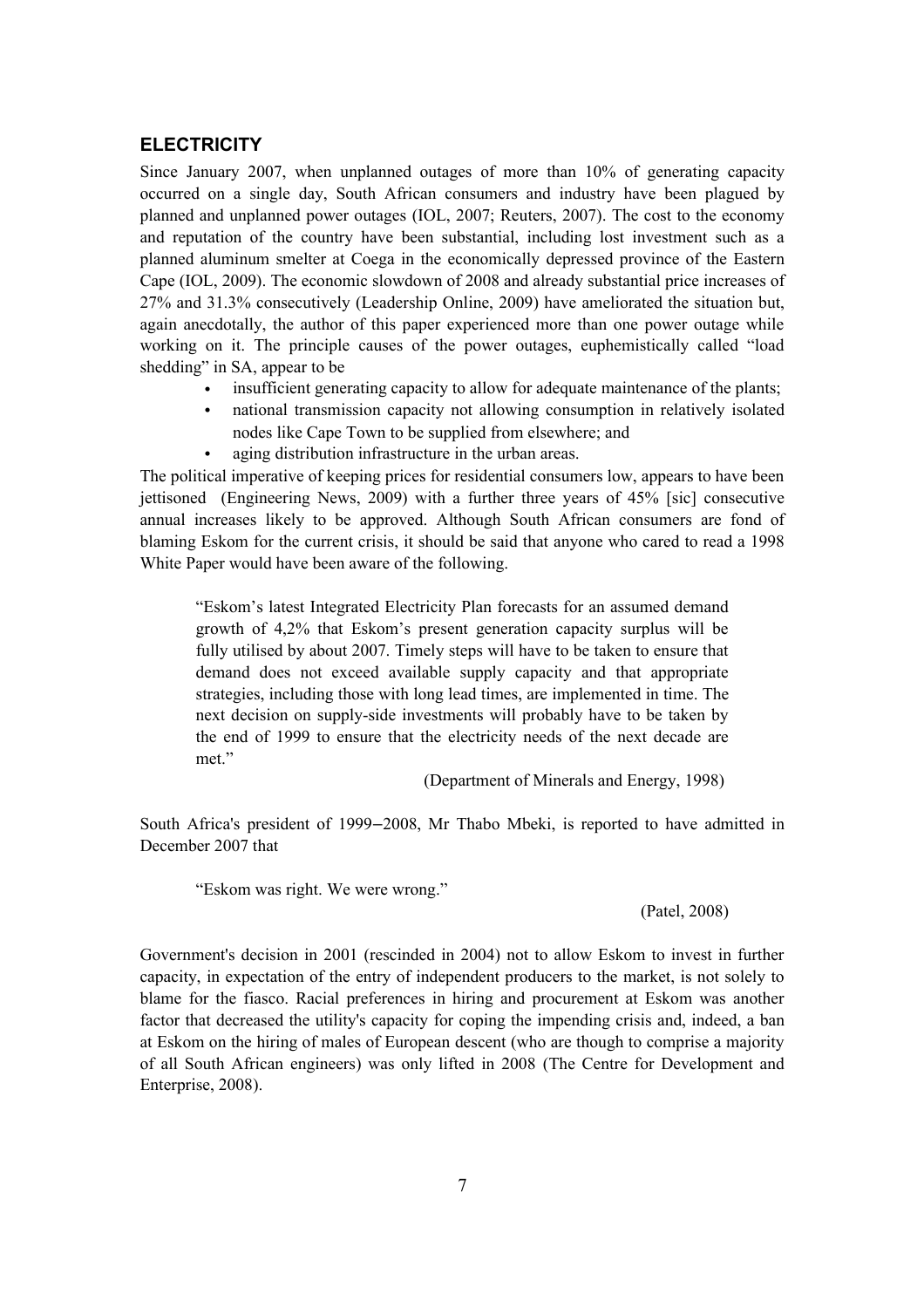## **ELECTRICITY**

Since January 2007, when unplanned outages of more than 10% of generating capacity occurred on a single day, South African consumers and industry have been plagued by planned and unplanned power outages (IOL, 2007; Reuters, 2007). The cost to the economy and reputation of the country have been substantial, including lost investment such as a planned aluminum smelter at Coega in the economically depressed province of the Eastern Cape (IOL, 2009). The economic slowdown of 2008 and already substantial price increases of 27% and 31.3% consecutively (Leadership Online, 2009) have ameliorated the situation but, again anecdotally, the author of this paper experienced more than one power outage while working on it. The principle causes of the power outages, euphemistically called "load shedding" in SA, appear to be

- insufficient generating capacity to allow for adequate maintenance of the plants;
- national transmission capacity not allowing consumption in relatively isolated nodes like Cape Town to be supplied from elsewhere; and
- aging distribution infrastructure in the urban areas.

The political imperative of keeping prices for residential consumers low, appears to have been jettisoned (Engineering News, 2009) with a further three years of 45% [sic] consecutive annual increases likely to be approved. Although South African consumers are fond of blaming Eskom for the current crisis, it should be said that anyone who cared to read a 1998 White Paper would have been aware of the following.

"Eskom's latest Integrated Electricity Plan forecasts for an assumed demand growth of 4,2% that Eskom's present generation capacity surplus will be fully utilised by about 2007. Timely steps will have to be taken to ensure that demand does not exceed available supply capacity and that appropriate strategies, including those with long lead times, are implemented in time. The next decision on supply-side investments will probably have to be taken by the end of 1999 to ensure that the electricity needs of the next decade are met."

(Department of Minerals and Energy, 1998)

South Africa's president of 1999–2008, Mr Thabo Mbeki, is reported to have admitted in December 2007 that

"Eskom was right. We were wrong."

#### (Patel, 2008)

Government's decision in 2001 (rescinded in 2004) not to allow Eskom to invest in further capacity, in expectation of the entry of independent producers to the market, is not solely to blame for the fiasco. Racial preferences in hiring and procurement at Eskom was another factor that decreased the utility's capacity for coping the impending crisis and, indeed, a ban at Eskom on the hiring of males of European descent (who are though to comprise a majority of all South African engineers) was only lifted in 2008 (The Centre for Development and Enterprise, 2008).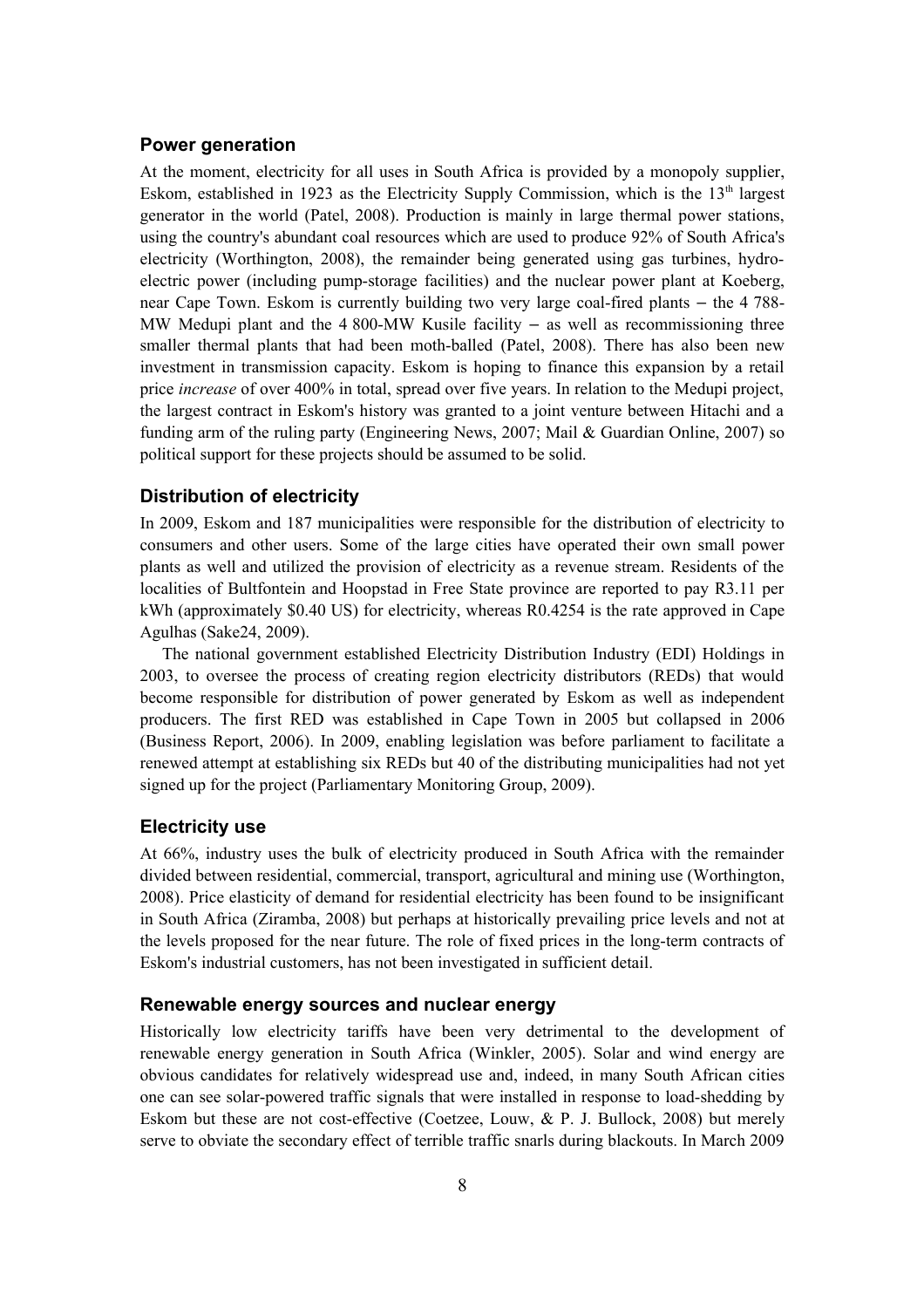## **Power generation**

At the moment, electricity for all uses in South Africa is provided by a monopoly supplier, Eskom, established in 1923 as the Electricity Supply Commission, which is the  $13<sup>th</sup>$  largest generator in the world (Patel, 2008). Production is mainly in large thermal power stations, using the country's abundant coal resources which are used to produce 92% of South Africa's electricity (Worthington, 2008), the remainder being generated using gas turbines, hydroelectric power (including pump-storage facilities) and the nuclear power plant at Koeberg, near Cape Town. Eskom is currently building two very large coal-fired plants  $-$  the 4 788-MW Medupi plant and the  $4800-MW$  Kusile facility  $-$  as well as recommissioning three smaller thermal plants that had been moth-balled (Patel, 2008). There has also been new investment in transmission capacity. Eskom is hoping to finance this expansion by a retail price *increase* of over 400% in total, spread over five years. In relation to the Medupi project, the largest contract in Eskom's history was granted to a joint venture between Hitachi and a funding arm of the ruling party (Engineering News, 2007; Mail & Guardian Online, 2007) so political support for these projects should be assumed to be solid.

## **Distribution of electricity**

In 2009, Eskom and 187 municipalities were responsible for the distribution of electricity to consumers and other users. Some of the large cities have operated their own small power plants as well and utilized the provision of electricity as a revenue stream. Residents of the localities of Bultfontein and Hoopstad in Free State province are reported to pay R3.11 per kWh (approximately \$0.40 US) for electricity, whereas R0.4254 is the rate approved in Cape Agulhas (Sake24, 2009).

The national government established Electricity Distribution Industry (EDI) Holdings in 2003, to oversee the process of creating region electricity distributors (REDs) that would become responsible for distribution of power generated by Eskom as well as independent producers. The first RED was established in Cape Town in 2005 but collapsed in 2006 (Business Report, 2006). In 2009, enabling legislation was before parliament to facilitate a renewed attempt at establishing six REDs but 40 of the distributing municipalities had not yet signed up for the project (Parliamentary Monitoring Group, 2009).

## **Electricity use**

At 66%, industry uses the bulk of electricity produced in South Africa with the remainder divided between residential, commercial, transport, agricultural and mining use (Worthington, 2008). Price elasticity of demand for residential electricity has been found to be insignificant in South Africa (Ziramba, 2008) but perhaps at historically prevailing price levels and not at the levels proposed for the near future. The role of fixed prices in the long-term contracts of Eskom's industrial customers, has not been investigated in sufficient detail.

## **Renewable energy sources and nuclear energy**

Historically low electricity tariffs have been very detrimental to the development of renewable energy generation in South Africa (Winkler, 2005). Solar and wind energy are obvious candidates for relatively widespread use and, indeed, in many South African cities one can see solar-powered traffic signals that were installed in response to load-shedding by Eskom but these are not cost-effective (Coetzee, Louw, & P. J. Bullock, 2008) but merely serve to obviate the secondary effect of terrible traffic snarls during blackouts. In March 2009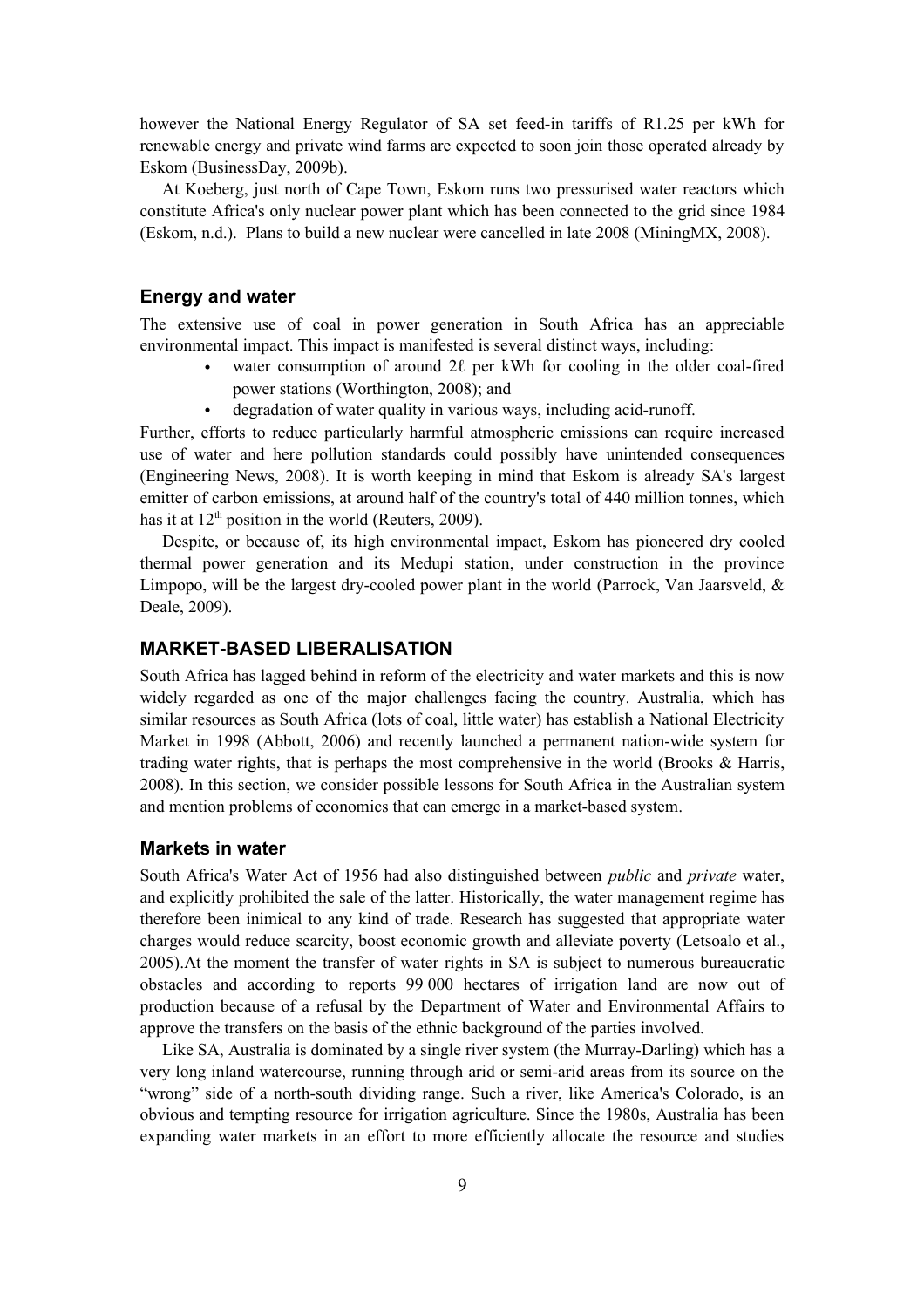however the National Energy Regulator of SA set feed-in tariffs of R1.25 per kWh for renewable energy and private wind farms are expected to soon join those operated already by Eskom (BusinessDay, 2009b).

At Koeberg, just north of Cape Town, Eskom runs two pressurised water reactors which constitute Africa's only nuclear power plant which has been connected to the grid since 1984 (Eskom, n.d.). Plans to build a new nuclear were cancelled in late 2008 (MiningMX, 2008).

## **Energy and water**

The extensive use of coal in power generation in South Africa has an appreciable environmental impact. This impact is manifested is several distinct ways, including:

- water consumption of around  $2\ell$  per kWh for cooling in the older coal-fired power stations (Worthington, 2008); and
- degradation of water quality in various ways, including acid-runoff.

Further, efforts to reduce particularly harmful atmospheric emissions can require increased use of water and here pollution standards could possibly have unintended consequences (Engineering News, 2008). It is worth keeping in mind that Eskom is already SA's largest emitter of carbon emissions, at around half of the country's total of 440 million tonnes, which has it at  $12<sup>th</sup>$  position in the world (Reuters, 2009).

Despite, or because of, its high environmental impact, Eskom has pioneered dry cooled thermal power generation and its Medupi station, under construction in the province Limpopo, will be the largest dry-cooled power plant in the world (Parrock, Van Jaarsveld, & Deale, 2009).

## **MARKET-BASED LIBERALISATION**

South Africa has lagged behind in reform of the electricity and water markets and this is now widely regarded as one of the major challenges facing the country. Australia, which has similar resources as South Africa (lots of coal, little water) has establish a National Electricity Market in 1998 (Abbott, 2006) and recently launched a permanent nation-wide system for trading water rights, that is perhaps the most comprehensive in the world (Brooks & Harris, 2008). In this section, we consider possible lessons for South Africa in the Australian system and mention problems of economics that can emerge in a market-based system.

## **Markets in water**

South Africa's Water Act of 1956 had also distinguished between *public* and *private* water, and explicitly prohibited the sale of the latter. Historically, the water management regime has therefore been inimical to any kind of trade. Research has suggested that appropriate water charges would reduce scarcity, boost economic growth and alleviate poverty (Letsoalo et al., 2005).At the moment the transfer of water rights in SA is subject to numerous bureaucratic obstacles and according to reports 99 000 hectares of irrigation land are now out of production because of a refusal by the Department of Water and Environmental Affairs to approve the transfers on the basis of the ethnic background of the parties involved.

Like SA, Australia is dominated by a single river system (the Murray-Darling) which has a very long inland watercourse, running through arid or semi-arid areas from its source on the "wrong" side of a north-south dividing range. Such a river, like America's Colorado, is an obvious and tempting resource for irrigation agriculture. Since the 1980s, Australia has been expanding water markets in an effort to more efficiently allocate the resource and studies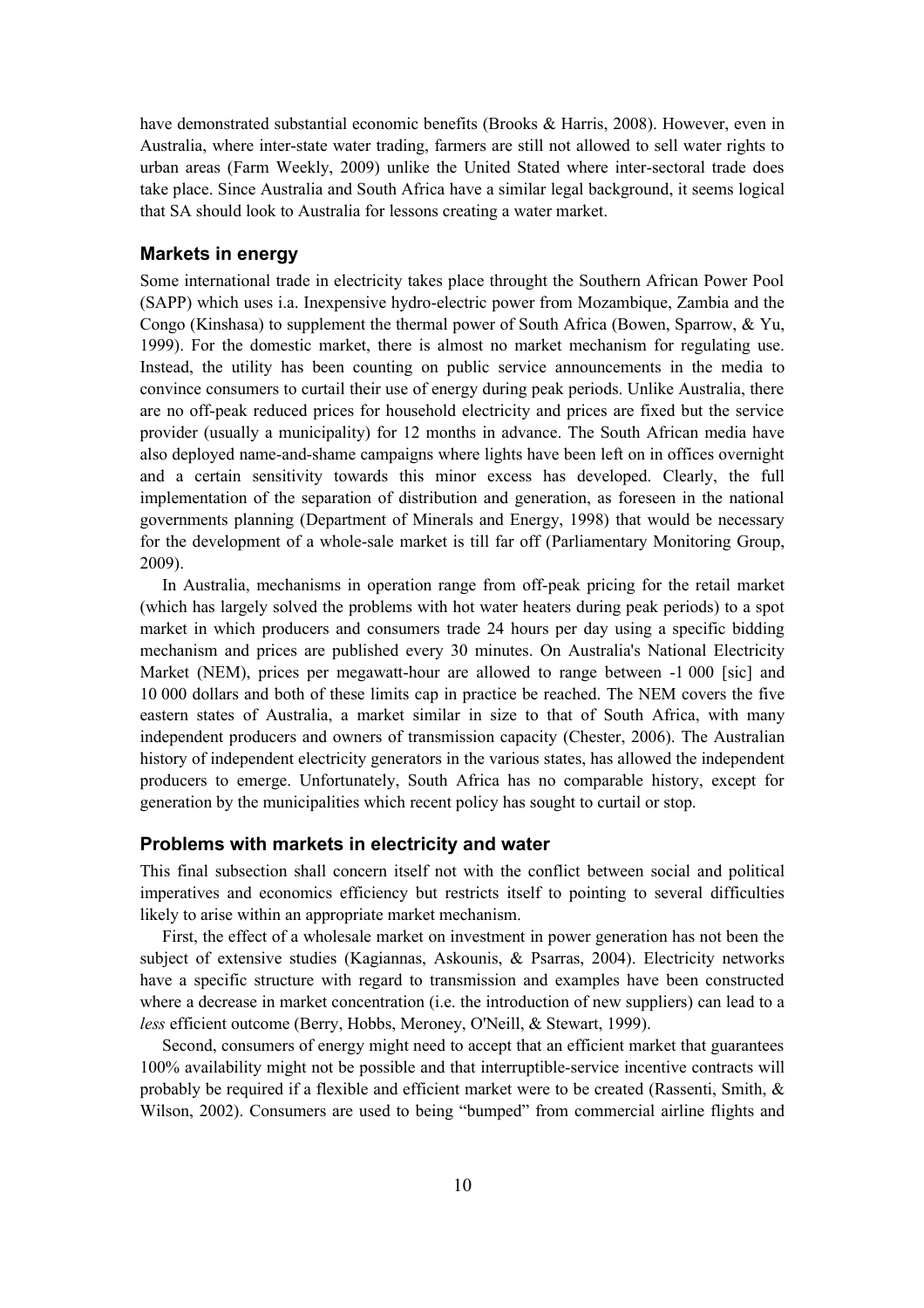have demonstrated substantial economic benefits (Brooks & Harris, 2008). However, even in Australia, where inter-state water trading, farmers are still not allowed to sell water rights to urban areas (Farm Weekly, 2009) unlike the United Stated where inter-sectoral trade does take place. Since Australia and South Africa have a similar legal background, it seems logical that SA should look to Australia for lessons creating a water market.

#### **Markets in energy**

Some international trade in electricity takes place throught the Southern African Power Pool (SAPP) which uses i.a. Inexpensive hydro-electric power from Mozambique, Zambia and the Congo (Kinshasa) to supplement the thermal power of South Africa (Bowen, Sparrow, & Yu, 1999). For the domestic market, there is almost no market mechanism for regulating use. Instead, the utility has been counting on public service announcements in the media to convince consumers to curtail their use of energy during peak periods. Unlike Australia, there are no off-peak reduced prices for household electricity and prices are fixed but the service provider (usually a municipality) for 12 months in advance. The South African media have also deployed name-and-shame campaigns where lights have been left on in offices overnight and a certain sensitivity towards this minor excess has developed. Clearly, the full implementation of the separation of distribution and generation, as foreseen in the national governments planning (Department of Minerals and Energy, 1998) that would be necessary for the development of a whole-sale market is till far off (Parliamentary Monitoring Group, 2009).

In Australia, mechanisms in operation range from off-peak pricing for the retail market (which has largely solved the problems with hot water heaters during peak periods) to a spot market in which producers and consumers trade 24 hours per day using a specific bidding mechanism and prices are published every 30 minutes. On Australia's National Electricity Market (NEM), prices per megawatt-hour are allowed to range between -1 000 [sic] and 10 000 dollars and both of these limits cap in practice be reached. The NEM covers the five eastern states of Australia, a market similar in size to that of South Africa, with many independent producers and owners of transmission capacity (Chester, 2006). The Australian history of independent electricity generators in the various states, has allowed the independent producers to emerge. Unfortunately, South Africa has no comparable history, except for generation by the municipalities which recent policy has sought to curtail or stop.

## **Problems with markets in electricity and water**

This final subsection shall concern itself not with the conflict between social and political imperatives and economics efficiency but restricts itself to pointing to several difficulties likely to arise within an appropriate market mechanism.

First, the effect of a wholesale market on investment in power generation has not been the subject of extensive studies (Kagiannas, Askounis, & Psarras, 2004). Electricity networks have a specific structure with regard to transmission and examples have been constructed where a decrease in market concentration (i.e. the introduction of new suppliers) can lead to a *less* efficient outcome (Berry, Hobbs, Meroney, O'Neill, & Stewart, 1999).

Second, consumers of energy might need to accept that an efficient market that guarantees 100% availability might not be possible and that interruptible-service incentive contracts will probably be required if a flexible and efficient market were to be created (Rassenti, Smith, & Wilson, 2002). Consumers are used to being "bumped" from commercial airline flights and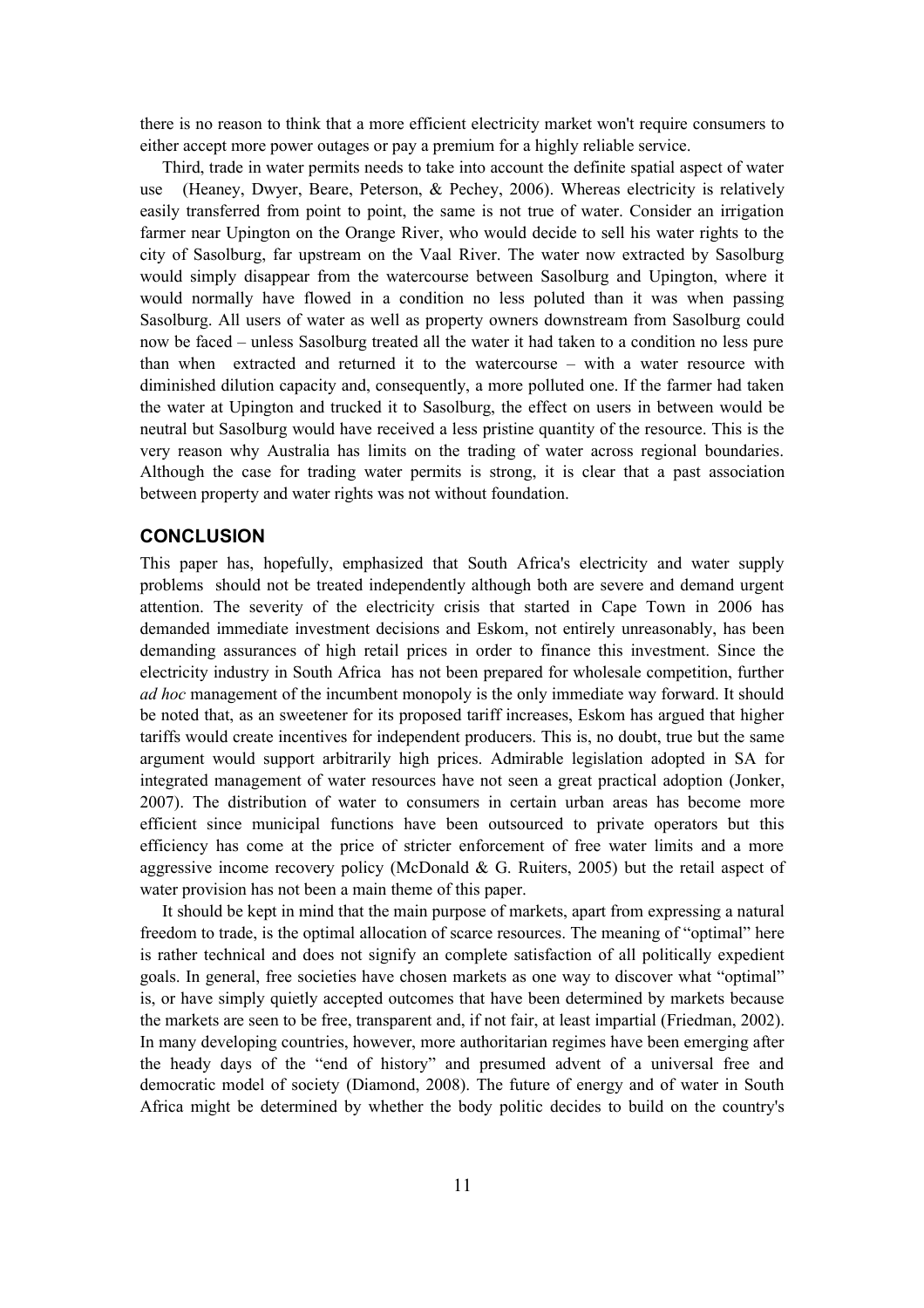there is no reason to think that a more efficient electricity market won't require consumers to either accept more power outages or pay a premium for a highly reliable service.

Third, trade in water permits needs to take into account the definite spatial aspect of water use (Heaney, Dwyer, Beare, Peterson, & Pechey, 2006). Whereas electricity is relatively easily transferred from point to point, the same is not true of water. Consider an irrigation farmer near Upington on the Orange River, who would decide to sell his water rights to the city of Sasolburg, far upstream on the Vaal River. The water now extracted by Sasolburg would simply disappear from the watercourse between Sasolburg and Upington, where it would normally have flowed in a condition no less poluted than it was when passing Sasolburg. All users of water as well as property owners downstream from Sasolburg could now be faced – unless Sasolburg treated all the water it had taken to a condition no less pure than when extracted and returned it to the watercourse – with a water resource with diminished dilution capacity and, consequently, a more polluted one. If the farmer had taken the water at Upington and trucked it to Sasolburg, the effect on users in between would be neutral but Sasolburg would have received a less pristine quantity of the resource. This is the very reason why Australia has limits on the trading of water across regional boundaries. Although the case for trading water permits is strong, it is clear that a past association between property and water rights was not without foundation.

## **CONCLUSION**

This paper has, hopefully, emphasized that South Africa's electricity and water supply problems should not be treated independently although both are severe and demand urgent attention. The severity of the electricity crisis that started in Cape Town in 2006 has demanded immediate investment decisions and Eskom, not entirely unreasonably, has been demanding assurances of high retail prices in order to finance this investment. Since the electricity industry in South Africa has not been prepared for wholesale competition, further *ad hoc* management of the incumbent monopoly is the only immediate way forward. It should be noted that, as an sweetener for its proposed tariff increases, Eskom has argued that higher tariffs would create incentives for independent producers. This is, no doubt, true but the same argument would support arbitrarily high prices. Admirable legislation adopted in SA for integrated management of water resources have not seen a great practical adoption (Jonker, 2007). The distribution of water to consumers in certain urban areas has become more efficient since municipal functions have been outsourced to private operators but this efficiency has come at the price of stricter enforcement of free water limits and a more aggressive income recovery policy (McDonald  $\&$  G. Ruiters, 2005) but the retail aspect of water provision has not been a main theme of this paper.

It should be kept in mind that the main purpose of markets, apart from expressing a natural freedom to trade, is the optimal allocation of scarce resources. The meaning of "optimal" here is rather technical and does not signify an complete satisfaction of all politically expedient goals. In general, free societies have chosen markets as one way to discover what "optimal" is, or have simply quietly accepted outcomes that have been determined by markets because the markets are seen to be free, transparent and, if not fair, at least impartial (Friedman, 2002). In many developing countries, however, more authoritarian regimes have been emerging after the heady days of the "end of history" and presumed advent of a universal free and democratic model of society (Diamond, 2008). The future of energy and of water in South Africa might be determined by whether the body politic decides to build on the country's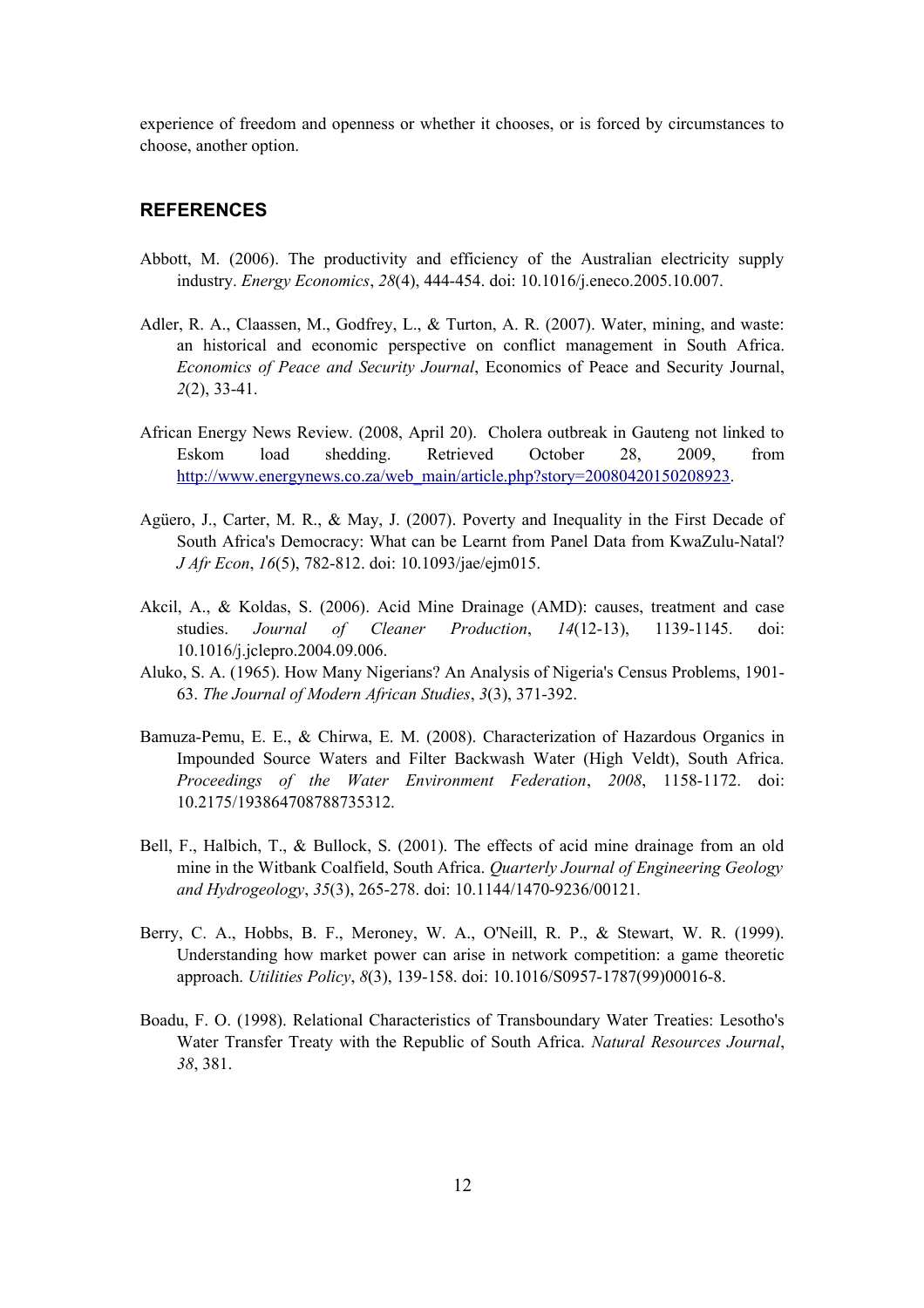experience of freedom and openness or whether it chooses, or is forced by circumstances to choose, another option.

## **REFERENCES**

- Abbott, M. (2006). The productivity and efficiency of the Australian electricity supply industry. *Energy Economics*, *28*(4), 444-454. doi: 10.1016/j.eneco.2005.10.007.
- Adler, R. A., Claassen, M., Godfrey, L., & Turton, A. R. (2007). Water, mining, and waste: an historical and economic perspective on conflict management in South Africa. *Economics of Peace and Security Journal*, Economics of Peace and Security Journal, *2*(2), 33-41.
- African Energy News Review. (2008, April 20). Cholera outbreak in Gauteng not linked to Eskom load shedding. Retrieved October 28, 2009, from http://www.energynews.co.za/web\_main/article.php?story=20080420150208923.
- Agüero, J., Carter, M. R., & May, J. (2007). Poverty and Inequality in the First Decade of South Africa's Democracy: What can be Learnt from Panel Data from KwaZulu-Natal? *J Afr Econ*, *16*(5), 782-812. doi: 10.1093/jae/ejm015.
- Akcil, A., & Koldas, S. (2006). Acid Mine Drainage (AMD): causes, treatment and case studies. *Journal of Cleaner Production*, *14*(12-13), 1139-1145. doi: 10.1016/j.jclepro.2004.09.006.
- Aluko, S. A. (1965). How Many Nigerians? An Analysis of Nigeria's Census Problems, 1901- 63. *The Journal of Modern African Studies*, *3*(3), 371-392.
- Bamuza-Pemu, E. E., & Chirwa, E. M. (2008). Characterization of Hazardous Organics in Impounded Source Waters and Filter Backwash Water (High Veldt), South Africa. *Proceedings of the Water Environment Federation*, *2008*, 1158-1172. doi: 10.2175/193864708788735312.
- Bell, F., Halbich, T., & Bullock, S. (2001). The effects of acid mine drainage from an old mine in the Witbank Coalfield, South Africa. *Quarterly Journal of Engineering Geology and Hydrogeology*, *35*(3), 265-278. doi: 10.1144/1470-9236/00121.
- Berry, C. A., Hobbs, B. F., Meroney, W. A., O'Neill, R. P., & Stewart, W. R. (1999). Understanding how market power can arise in network competition: a game theoretic approach. *Utilities Policy*, *8*(3), 139-158. doi: 10.1016/S0957-1787(99)00016-8.
- Boadu, F. O. (1998). Relational Characteristics of Transboundary Water Treaties: Lesotho's Water Transfer Treaty with the Republic of South Africa. *Natural Resources Journal*, *38*, 381.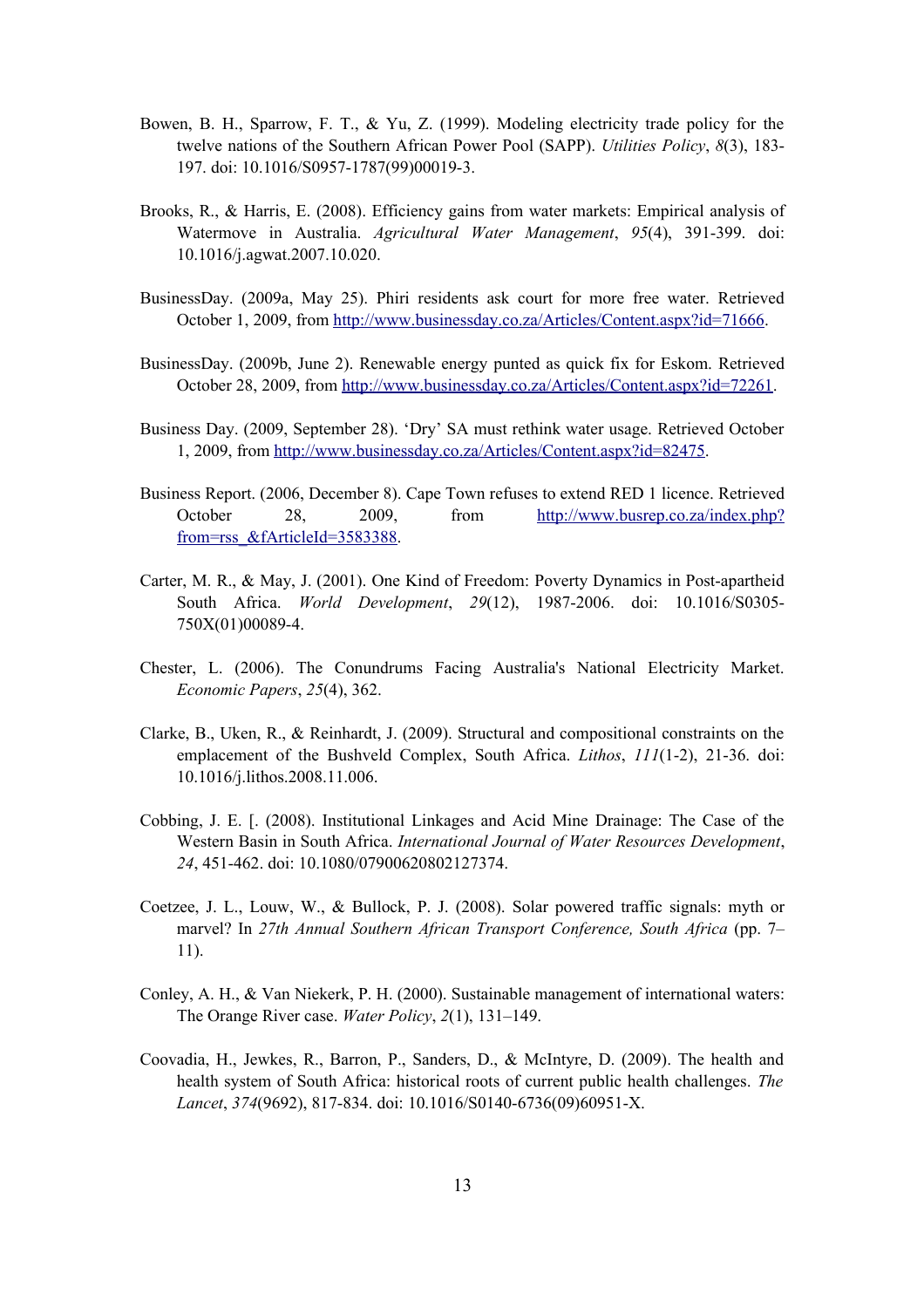- Bowen, B. H., Sparrow, F. T., & Yu, Z. (1999). Modeling electricity trade policy for the twelve nations of the Southern African Power Pool (SAPP). *Utilities Policy*, *8*(3), 183- 197. doi: 10.1016/S0957-1787(99)00019-3.
- Brooks, R., & Harris, E. (2008). Efficiency gains from water markets: Empirical analysis of Watermove in Australia. *Agricultural Water Management*, *95*(4), 391-399. doi: 10.1016/j.agwat.2007.10.020.
- BusinessDay. (2009a, May 25). Phiri residents ask court for more free water. Retrieved October 1, 2009, from http://www.businessday.co.za/Articles/Content.aspx?id=71666.
- BusinessDay. (2009b, June 2). Renewable energy punted as quick fix for Eskom. Retrieved October 28, 2009, from http://www.businessday.co.za/Articles/Content.aspx?id=72261.
- Business Day. (2009, September 28). 'Dry' SA must rethink water usage. Retrieved October 1, 2009, from http://www.businessday.co.za/Articles/Content.aspx?id=82475.
- Business Report. (2006, December 8). Cape Town refuses to extend RED 1 licence. Retrieved October 28, 2009, from http://www.busrep.co.za/index.php? from=rss\_&fArticleId=3583388.
- Carter, M. R., & May, J. (2001). One Kind of Freedom: Poverty Dynamics in Post-apartheid South Africa. *World Development*, *29*(12), 1987-2006. doi: 10.1016/S0305- 750X(01)00089-4.
- Chester, L. (2006). The Conundrums Facing Australia's National Electricity Market. *Economic Papers*, *25*(4), 362.
- Clarke, B., Uken, R., & Reinhardt, J. (2009). Structural and compositional constraints on the emplacement of the Bushveld Complex, South Africa. *Lithos*, *111*(1-2), 21-36. doi: 10.1016/j.lithos.2008.11.006.
- Cobbing, J. E. [. (2008). Institutional Linkages and Acid Mine Drainage: The Case of the Western Basin in South Africa. *International Journal of Water Resources Development*, *24*, 451-462. doi: 10.1080/07900620802127374.
- Coetzee, J. L., Louw, W., & Bullock, P. J. (2008). Solar powered traffic signals: myth or marvel? In *27th Annual Southern African Transport Conference, South Africa* (pp. 7– 11).
- Conley, A. H., & Van Niekerk, P. H. (2000). Sustainable management of international waters: The Orange River case. *Water Policy*, *2*(1), 131–149.
- Coovadia, H., Jewkes, R., Barron, P., Sanders, D., & McIntyre, D. (2009). The health and health system of South Africa: historical roots of current public health challenges. *The Lancet*, *374*(9692), 817-834. doi: 10.1016/S0140-6736(09)60951-X.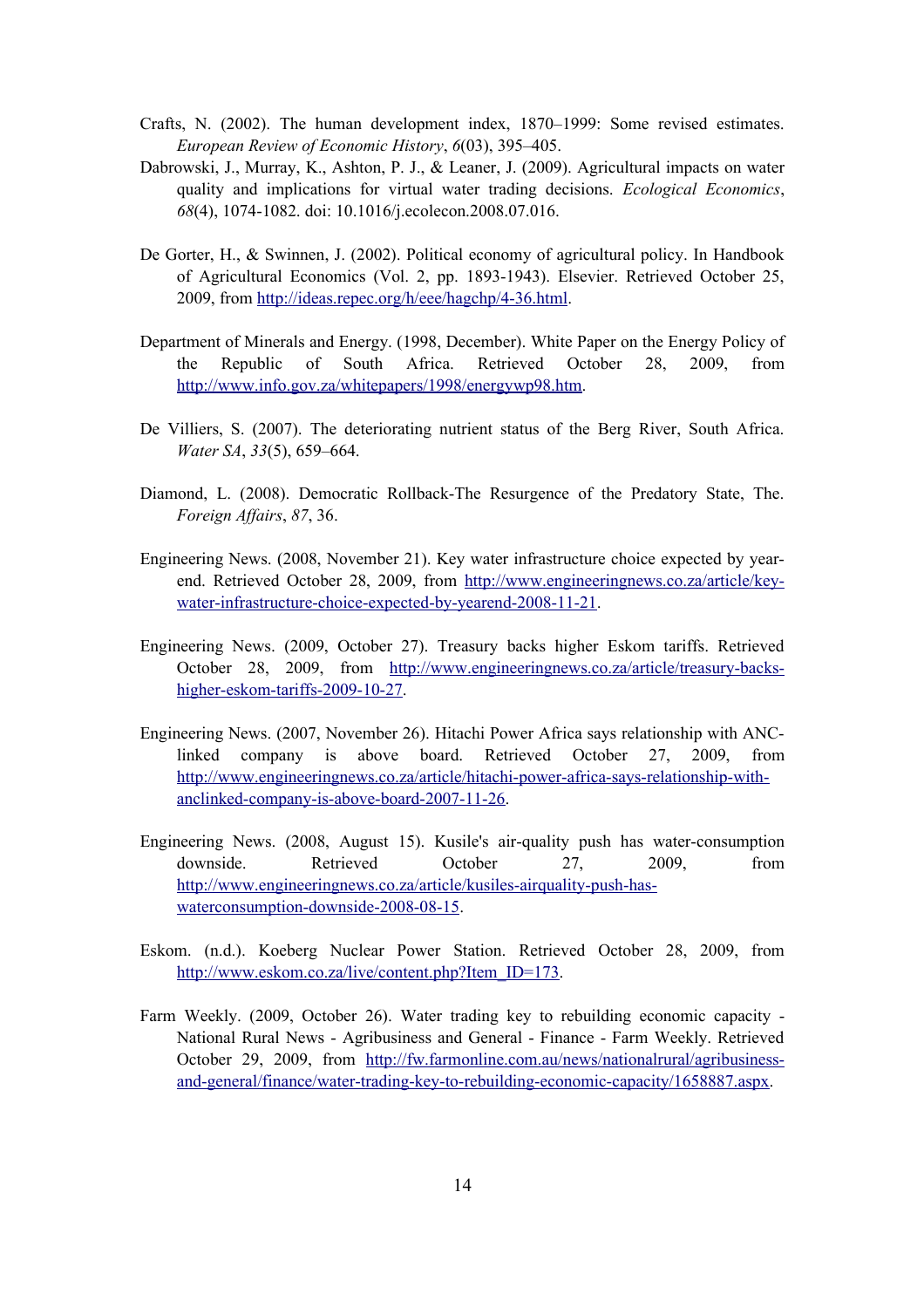- Crafts, N. (2002). The human development index, 1870–1999: Some revised estimates. *European Review of Economic History*, *6*(03), 395–405.
- Dabrowski, J., Murray, K., Ashton, P. J., & Leaner, J. (2009). Agricultural impacts on water quality and implications for virtual water trading decisions. *Ecological Economics*, *68*(4), 1074-1082. doi: 10.1016/j.ecolecon.2008.07.016.
- De Gorter, H., & Swinnen, J. (2002). Political economy of agricultural policy. In Handbook of Agricultural Economics (Vol. 2, pp. 1893-1943). Elsevier. Retrieved October 25, 2009, from http://ideas.repec.org/h/eee/hagchp/4-36.html.
- Department of Minerals and Energy. (1998, December). White Paper on the Energy Policy of the Republic of South Africa. Retrieved October 28, 2009, from http://www.info.gov.za/whitepapers/1998/energywp98.htm.
- De Villiers, S. (2007). The deteriorating nutrient status of the Berg River, South Africa. *Water SA*, *33*(5), 659–664.
- Diamond, L. (2008). Democratic Rollback-The Resurgence of the Predatory State, The. *Foreign Affairs*, *87*, 36.
- Engineering News. (2008, November 21). Key water infrastructure choice expected by yearend. Retrieved October 28, 2009, from http://www.engineeringnews.co.za/article/keywater-infrastructure-choice-expected-by-yearend-2008-11-21.
- Engineering News. (2009, October 27). Treasury backs higher Eskom tariffs. Retrieved October 28, 2009, from http://www.engineeringnews.co.za/article/treasury-backshigher-eskom-tariffs-2009-10-27.
- Engineering News. (2007, November 26). Hitachi Power Africa says relationship with ANClinked company is above board. Retrieved October 27, 2009, from http://www.engineeringnews.co.za/article/hitachi-power-africa-says-relationship-withanclinked-company-is-above-board-2007-11-26.
- Engineering News. (2008, August 15). Kusile's air-quality push has water-consumption downside. Retrieved October 27, 2009, from http://www.engineeringnews.co.za/article/kusiles-airquality-push-haswaterconsumption-downside-2008-08-15.
- Eskom. (n.d.). Koeberg Nuclear Power Station. Retrieved October 28, 2009, from http://www.eskom.co.za/live/content.php?Item\_ID=173.
- Farm Weekly. (2009, October 26). Water trading key to rebuilding economic capacity National Rural News - Agribusiness and General - Finance - Farm Weekly. Retrieved October 29, 2009, from http://fw.farmonline.com.au/news/nationalrural/agribusinessand-general/finance/water-trading-key-to-rebuilding-economic-capacity/1658887.aspx.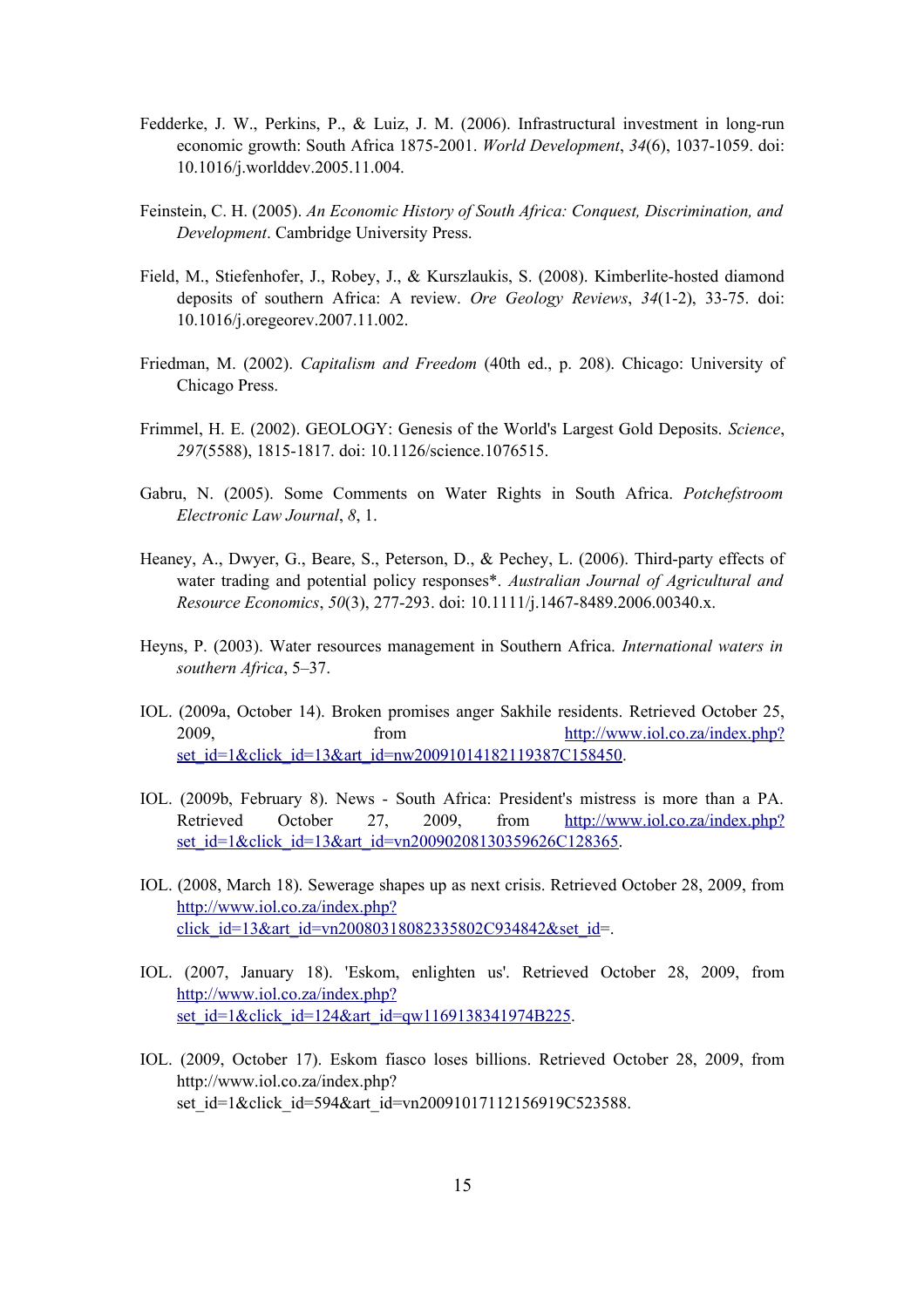- Fedderke, J. W., Perkins, P., & Luiz, J. M. (2006). Infrastructural investment in long-run economic growth: South Africa 1875-2001. *World Development*, *34*(6), 1037-1059. doi: 10.1016/j.worlddev.2005.11.004.
- Feinstein, C. H. (2005). *An Economic History of South Africa: Conquest, Discrimination, and Development*. Cambridge University Press.
- Field, M., Stiefenhofer, J., Robey, J., & Kurszlaukis, S. (2008). Kimberlite-hosted diamond deposits of southern Africa: A review. *Ore Geology Reviews*, *34*(1-2), 33-75. doi: 10.1016/j.oregeorev.2007.11.002.
- Friedman, M. (2002). *Capitalism and Freedom* (40th ed., p. 208). Chicago: University of Chicago Press.
- Frimmel, H. E. (2002). GEOLOGY: Genesis of the World's Largest Gold Deposits. *Science*, *297*(5588), 1815-1817. doi: 10.1126/science.1076515.
- Gabru, N. (2005). Some Comments on Water Rights in South Africa. *Potchefstroom Electronic Law Journal*, *8*, 1.
- Heaney, A., Dwyer, G., Beare, S., Peterson, D., & Pechey, L. (2006). Third-party effects of water trading and potential policy responses\*. *Australian Journal of Agricultural and Resource Economics*, *50*(3), 277-293. doi: 10.1111/j.1467-8489.2006.00340.x.
- Heyns, P. (2003). Water resources management in Southern Africa. *International waters in southern Africa*, 5–37.
- IOL. (2009a, October 14). Broken promises anger Sakhile residents. Retrieved October 25, 2009, from http://www.iol.co.za/index.php? set\_id=1&click\_id=13&art\_id=nw20091014182119387C158450.
- IOL. (2009b, February 8). News South Africa: President's mistress is more than a PA. Retrieved October 27, 2009, from http://www.iol.co.za/index.php? set\_id=1&click\_id=13&art\_id=vn20090208130359626C128365.
- IOL. (2008, March 18). Sewerage shapes up as next crisis. Retrieved October 28, 2009, from http://www.iol.co.za/index.php? click\_id=13&art\_id=vn20080318082335802C934842&set\_id=.
- IOL. (2007, January 18). 'Eskom, enlighten us'. Retrieved October 28, 2009, from http://www.iol.co.za/index.php? set id=1&click id=124&art id=qw1169138341974B225.
- IOL. (2009, October 17). Eskom fiasco loses billions. Retrieved October 28, 2009, from http://www.iol.co.za/index.php? set id=1&click id=594&art id=vn20091017112156919C523588.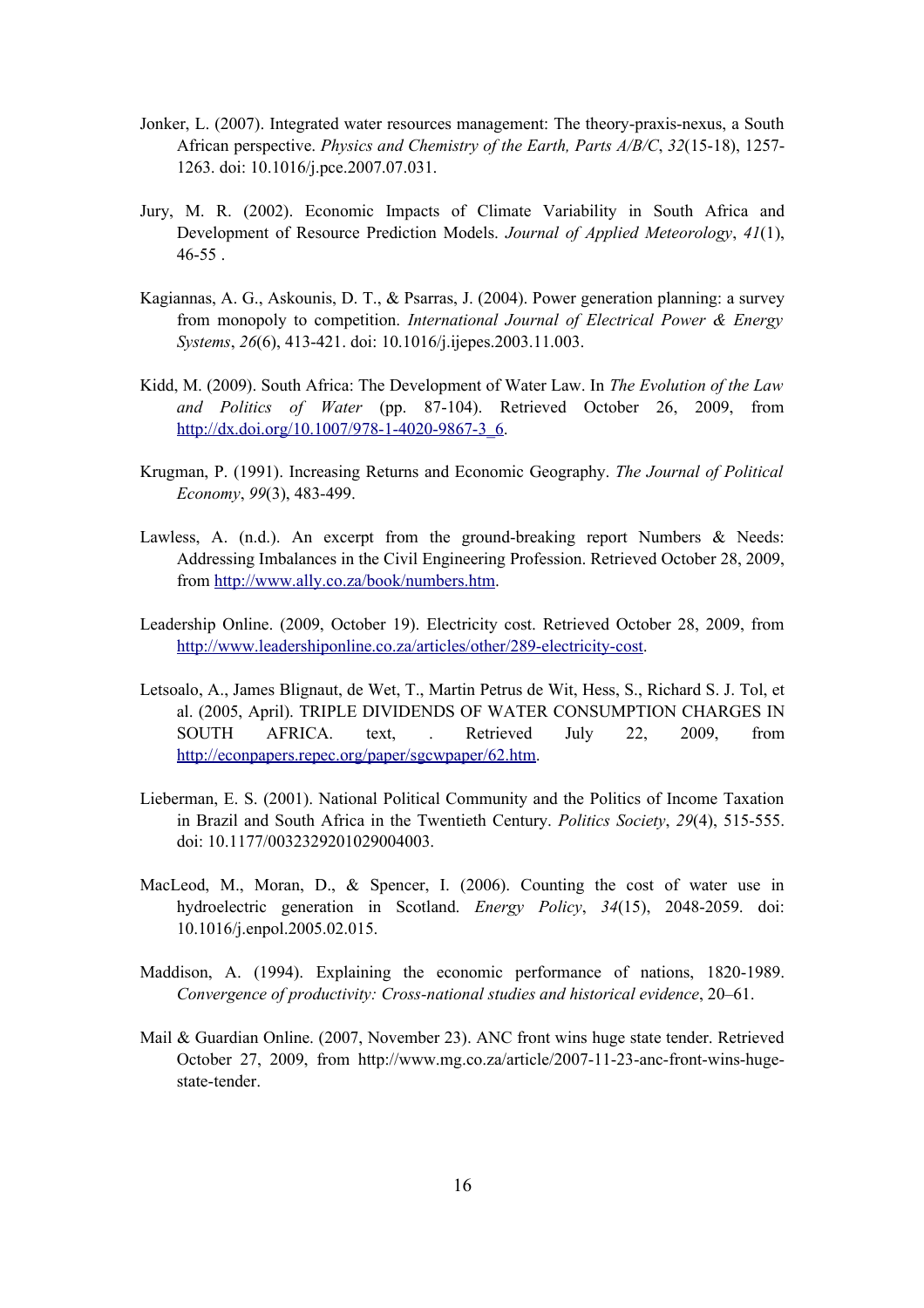- Jonker, L. (2007). Integrated water resources management: The theory-praxis-nexus, a South African perspective. *Physics and Chemistry of the Earth, Parts A/B/C*, *32*(15-18), 1257- 1263. doi: 10.1016/j.pce.2007.07.031.
- Jury, M. R. (2002). Economic Impacts of Climate Variability in South Africa and Development of Resource Prediction Models. *Journal of Applied Meteorology*, *41*(1), 46-55 .
- Kagiannas, A. G., Askounis, D. T., & Psarras, J. (2004). Power generation planning: a survey from monopoly to competition. *International Journal of Electrical Power & Energy Systems*, *26*(6), 413-421. doi: 10.1016/j.ijepes.2003.11.003.
- Kidd, M. (2009). South Africa: The Development of Water Law. In *The Evolution of the Law and Politics of Water* (pp. 87-104). Retrieved October 26, 2009, from http://dx.doi.org/10.1007/978-1-4020-9867-3\_6.
- Krugman, P. (1991). Increasing Returns and Economic Geography. *The Journal of Political Economy*, *99*(3), 483-499.
- Lawless, A.  $(n.d.)$ . An excerpt from the ground-breaking report Numbers  $\&$  Needs: Addressing Imbalances in the Civil Engineering Profession. Retrieved October 28, 2009, from http://www.ally.co.za/book/numbers.htm.
- Leadership Online. (2009, October 19). Electricity cost. Retrieved October 28, 2009, from http://www.leadershiponline.co.za/articles/other/289-electricity-cost.
- Letsoalo, A., James Blignaut, de Wet, T., Martin Petrus de Wit, Hess, S., Richard S. J. Tol, et al. (2005, April). TRIPLE DIVIDENDS OF WATER CONSUMPTION CHARGES IN SOUTH AFRICA. text, . Retrieved July 22, 2009, from http://econpapers.repec.org/paper/sgcwpaper/62.htm.
- Lieberman, E. S. (2001). National Political Community and the Politics of Income Taxation in Brazil and South Africa in the Twentieth Century. *Politics Society*, *29*(4), 515-555. doi: 10.1177/0032329201029004003.
- MacLeod, M., Moran, D., & Spencer, I. (2006). Counting the cost of water use in hydroelectric generation in Scotland. *Energy Policy*, *34*(15), 2048-2059. doi: 10.1016/j.enpol.2005.02.015.
- Maddison, A. (1994). Explaining the economic performance of nations, 1820-1989. *Convergence of productivity: Cross-national studies and historical evidence*, 20–61.
- Mail & Guardian Online. (2007, November 23). ANC front wins huge state tender. Retrieved October 27, 2009, from http://www.mg.co.za/article/2007-11-23-anc-front-wins-hugestate-tender.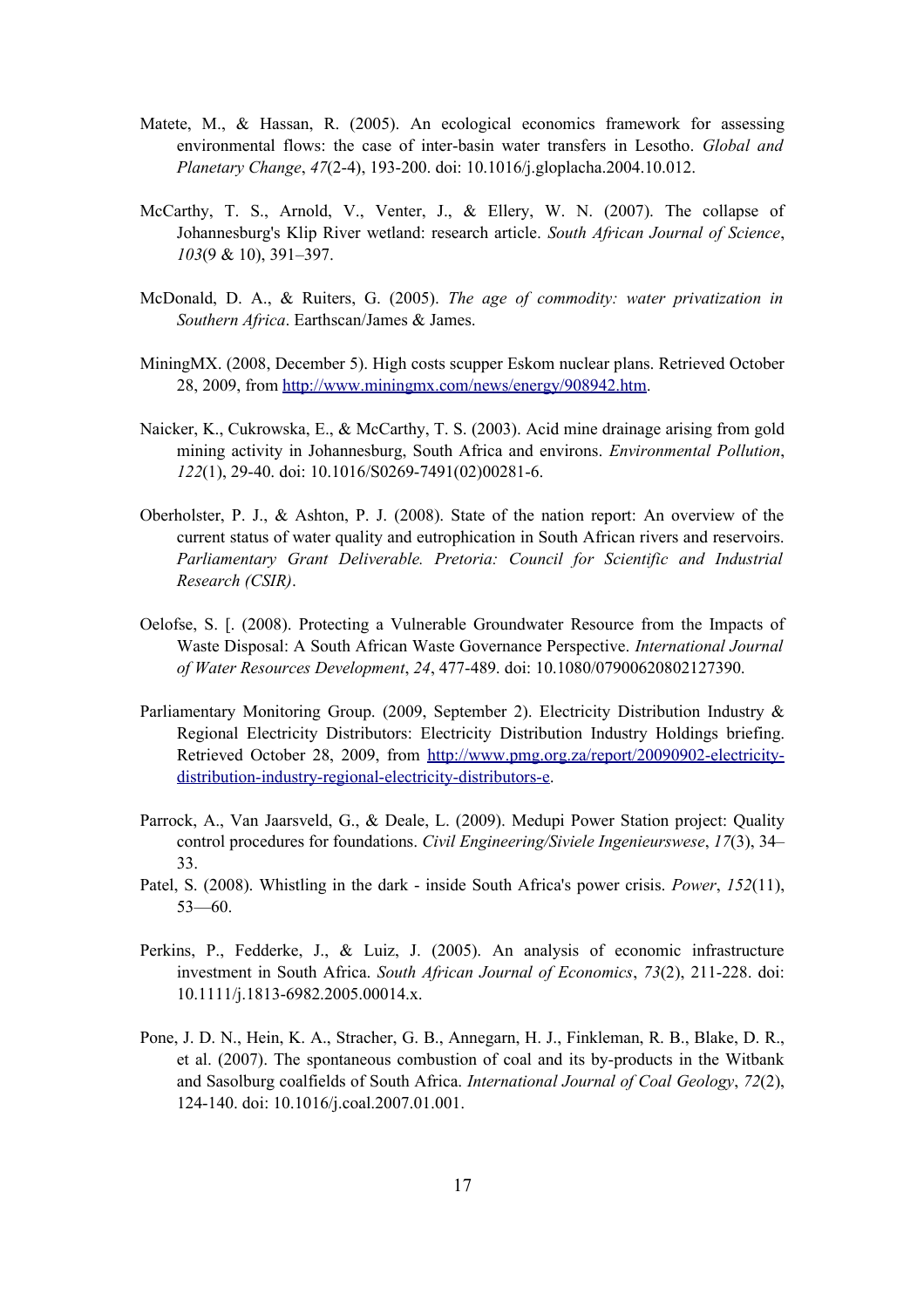- Matete, M., & Hassan, R. (2005). An ecological economics framework for assessing environmental flows: the case of inter-basin water transfers in Lesotho. *Global and Planetary Change*, *47*(2-4), 193-200. doi: 10.1016/j.gloplacha.2004.10.012.
- McCarthy, T. S., Arnold, V., Venter, J., & Ellery, W. N. (2007). The collapse of Johannesburg's Klip River wetland: research article. *South African Journal of Science*, *103*(9 & 10), 391–397.
- McDonald, D. A., & Ruiters, G. (2005). *The age of commodity: water privatization in Southern Africa*. Earthscan/James & James.
- MiningMX. (2008, December 5). High costs scupper Eskom nuclear plans. Retrieved October 28, 2009, from http://www.miningmx.com/news/energy/908942.htm.
- Naicker, K., Cukrowska, E., & McCarthy, T. S. (2003). Acid mine drainage arising from gold mining activity in Johannesburg, South Africa and environs. *Environmental Pollution*, *122*(1), 29-40. doi: 10.1016/S0269-7491(02)00281-6.
- Oberholster, P. J., & Ashton, P. J. (2008). State of the nation report: An overview of the current status of water quality and eutrophication in South African rivers and reservoirs. *Parliamentary Grant Deliverable. Pretoria: Council for Scientific and Industrial Research (CSIR)*.
- Oelofse, S. [. (2008). Protecting a Vulnerable Groundwater Resource from the Impacts of Waste Disposal: A South African Waste Governance Perspective. *International Journal of Water Resources Development*, *24*, 477-489. doi: 10.1080/07900620802127390.
- Parliamentary Monitoring Group. (2009, September 2). Electricity Distribution Industry & Regional Electricity Distributors: Electricity Distribution Industry Holdings briefing. Retrieved October 28, 2009, from http://www.pmg.org.za/report/20090902-electricitydistribution-industry-regional-electricity-distributors-e.
- Parrock, A., Van Jaarsveld, G., & Deale, L. (2009). Medupi Power Station project: Quality control procedures for foundations. *Civil Engineering/Siviele Ingenieurswese*, *17*(3), 34– 33.
- Patel, S. (2008). Whistling in the dark inside South Africa's power crisis. *Power*, *152*(11), 53—60.
- Perkins, P., Fedderke, J., & Luiz, J. (2005). An analysis of economic infrastructure investment in South Africa. *South African Journal of Economics*, *73*(2), 211-228. doi: 10.1111/j.1813-6982.2005.00014.x.
- Pone, J. D. N., Hein, K. A., Stracher, G. B., Annegarn, H. J., Finkleman, R. B., Blake, D. R., et al. (2007). The spontaneous combustion of coal and its by-products in the Witbank and Sasolburg coalfields of South Africa. *International Journal of Coal Geology*, *72*(2), 124-140. doi: 10.1016/j.coal.2007.01.001.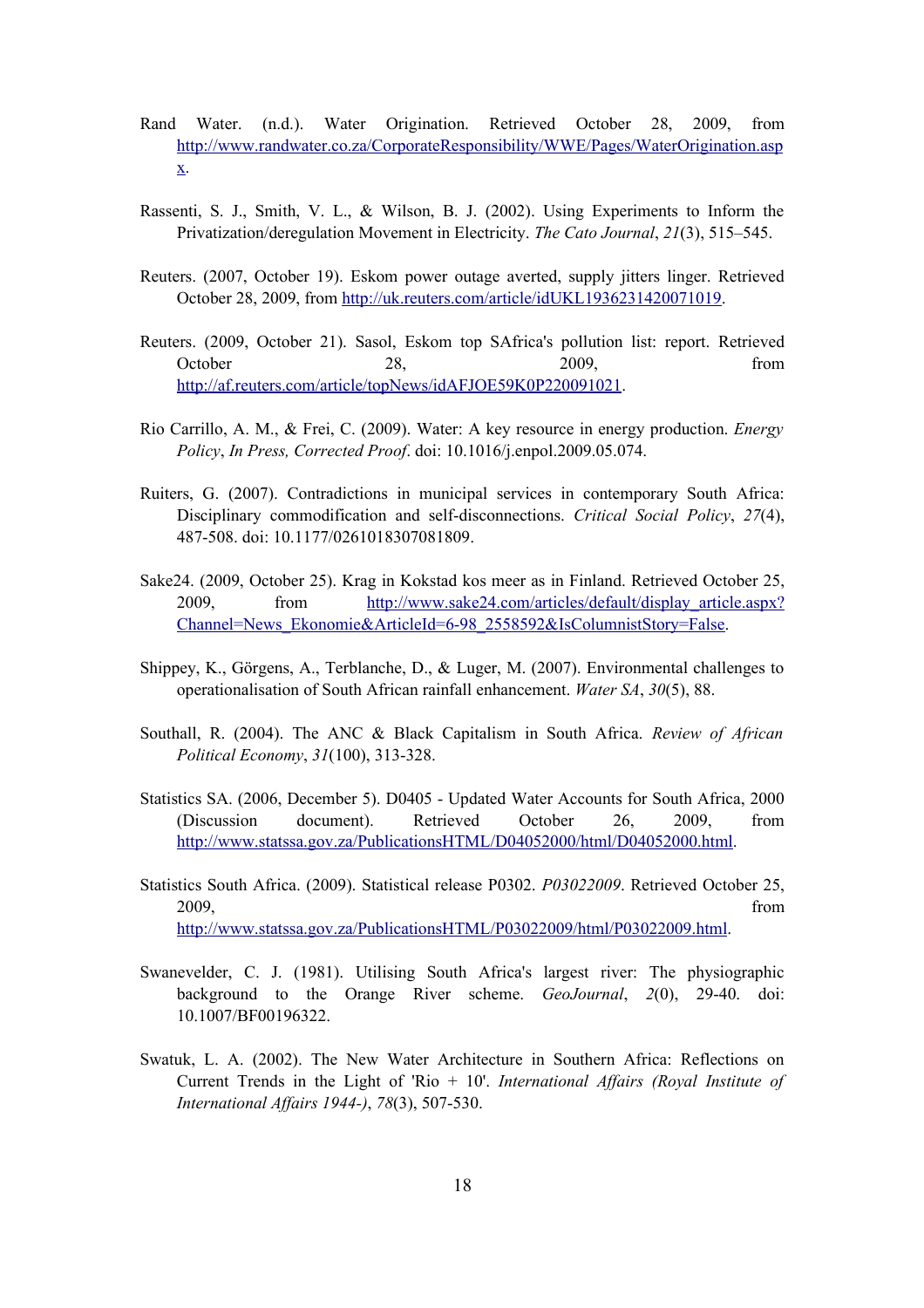- Rand Water. (n.d.). Water Origination. Retrieved October 28, 2009, from http://www.randwater.co.za/CorporateResponsibility/WWE/Pages/WaterOrigination.asp x.
- Rassenti, S. J., Smith, V. L., & Wilson, B. J. (2002). Using Experiments to Inform the Privatization/deregulation Movement in Electricity. *The Cato Journal*, *21*(3), 515–545.
- Reuters. (2007, October 19). Eskom power outage averted, supply jitters linger. Retrieved October 28, 2009, from http://uk.reuters.com/article/idUKL1936231420071019.
- Reuters. (2009, October 21). Sasol, Eskom top SAfrica's pollution list: report. Retrieved October 28, 2009, from http://af.reuters.com/article/topNews/idAFJOE59K0P220091021.
- Rio Carrillo, A. M., & Frei, C. (2009). Water: A key resource in energy production. *Energy Policy*, *In Press, Corrected Proof*. doi: 10.1016/j.enpol.2009.05.074.
- Ruiters, G. (2007). Contradictions in municipal services in contemporary South Africa: Disciplinary commodification and self-disconnections. *Critical Social Policy*, *27*(4), 487-508. doi: 10.1177/0261018307081809.
- Sake24. (2009, October 25). Krag in Kokstad kos meer as in Finland. Retrieved October 25, 2009, from http://www.sake24.com/articles/default/display\_article.aspx? Channel=News\_Ekonomie&ArticleId=6-98\_2558592&IsColumnistStory=False.
- Shippey, K., Görgens, A., Terblanche, D., & Luger, M. (2007). Environmental challenges to operationalisation of South African rainfall enhancement. *Water SA*, *30*(5), 88.
- Southall, R. (2004). The ANC & Black Capitalism in South Africa. *Review of African Political Economy*, *31*(100), 313-328.
- Statistics SA. (2006, December 5). D0405 Updated Water Accounts for South Africa, 2000 (Discussion document). Retrieved October 26, 2009, from http://www.statssa.gov.za/PublicationsHTML/D04052000/html/D04052000.html.
- Statistics South Africa. (2009). Statistical release P0302. *P03022009*. Retrieved October 25, 2009, from http://www.statssa.gov.za/PublicationsHTML/P03022009/html/P03022009.html.
- Swanevelder, C. J. (1981). Utilising South Africa's largest river: The physiographic background to the Orange River scheme. *GeoJournal*, *2*(0), 29-40. doi: 10.1007/BF00196322.
- Swatuk, L. A. (2002). The New Water Architecture in Southern Africa: Reflections on Current Trends in the Light of 'Rio + 10'. *International Affairs (Royal Institute of International Affairs 1944-)*, *78*(3), 507-530.